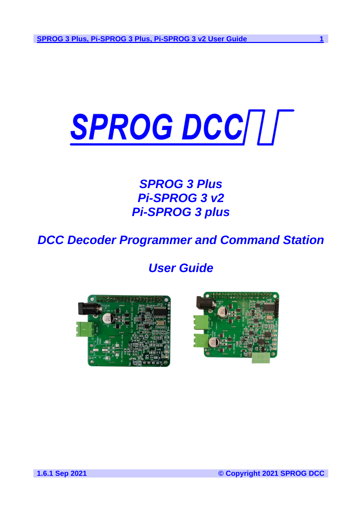# SPROG DCC///

# *SPROG 3 Plus Pi-SPROG 3 v2 Pi-SPROG 3 plus*

*DCC Decoder Programmer and Command Station* 

*User Guide*



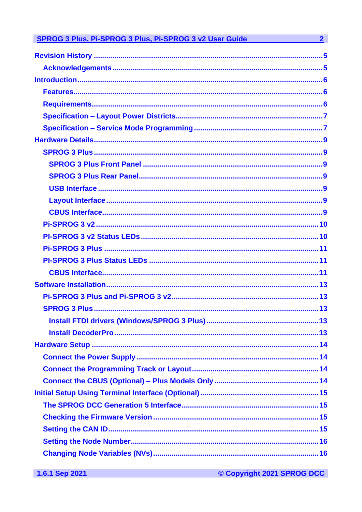| <b>SPROG 3 Plus, Pi-SPROG 3 Plus, Pi-SPROG 3 v2 User Guide</b> | $\mathbf{2}$ |
|----------------------------------------------------------------|--------------|
|                                                                |              |
|                                                                |              |
|                                                                |              |
|                                                                |              |
|                                                                |              |
|                                                                |              |
|                                                                |              |
|                                                                |              |
|                                                                |              |
|                                                                |              |
|                                                                |              |
|                                                                |              |
|                                                                |              |
|                                                                |              |
|                                                                |              |
|                                                                |              |
|                                                                |              |
|                                                                |              |
|                                                                |              |
|                                                                |              |
|                                                                |              |
|                                                                |              |
|                                                                |              |
|                                                                |              |
|                                                                |              |
|                                                                |              |
|                                                                |              |
|                                                                |              |
|                                                                |              |
|                                                                |              |
|                                                                |              |
|                                                                |              |
|                                                                |              |
|                                                                |              |

© Copyright 2021 SPROG DCC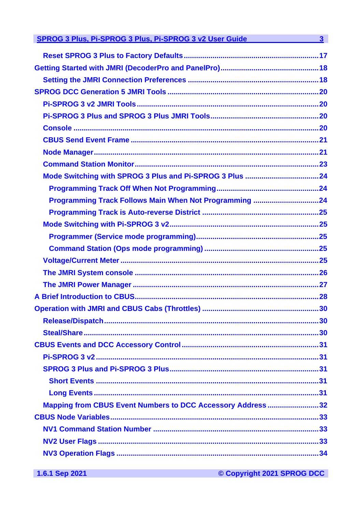| SPROG 3 Plus, Pi-SPROG 3 Plus, Pi-SPROG 3 v2 User Guide 3 3        |  |
|--------------------------------------------------------------------|--|
|                                                                    |  |
|                                                                    |  |
|                                                                    |  |
|                                                                    |  |
|                                                                    |  |
|                                                                    |  |
|                                                                    |  |
|                                                                    |  |
|                                                                    |  |
|                                                                    |  |
|                                                                    |  |
|                                                                    |  |
| Programming Track Follows Main When Not Programming 24             |  |
|                                                                    |  |
|                                                                    |  |
|                                                                    |  |
|                                                                    |  |
|                                                                    |  |
|                                                                    |  |
|                                                                    |  |
|                                                                    |  |
|                                                                    |  |
|                                                                    |  |
|                                                                    |  |
|                                                                    |  |
|                                                                    |  |
|                                                                    |  |
|                                                                    |  |
|                                                                    |  |
| <b>Mapping from CBUS Event Numbers to DCC Accessory Address 32</b> |  |
|                                                                    |  |
|                                                                    |  |
|                                                                    |  |
|                                                                    |  |
|                                                                    |  |

© Copyright 2021 SPROG DCC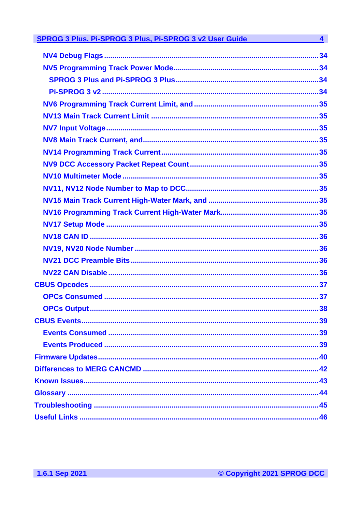| SPROG 3 Plus, Pi-SPROG 3 Plus, Pi-SPROG 3 v2 User Guide | $\overline{\mathbf{4}}$ |
|---------------------------------------------------------|-------------------------|
|                                                         |                         |
|                                                         |                         |
|                                                         |                         |
|                                                         |                         |
|                                                         |                         |
|                                                         |                         |
|                                                         |                         |
|                                                         |                         |
|                                                         |                         |
|                                                         |                         |
|                                                         |                         |
|                                                         |                         |
|                                                         |                         |
|                                                         |                         |
|                                                         |                         |
|                                                         |                         |
|                                                         |                         |
|                                                         |                         |
|                                                         |                         |
|                                                         |                         |
|                                                         |                         |
|                                                         |                         |
|                                                         |                         |
|                                                         |                         |
|                                                         |                         |
|                                                         |                         |
|                                                         |                         |
|                                                         |                         |
|                                                         |                         |
|                                                         |                         |
|                                                         |                         |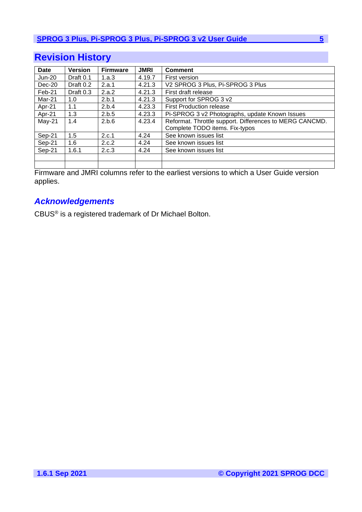# <span id="page-4-0"></span>**Revision History**

| <b>Date</b>   | <b>Version</b> | <b>Firmware</b> | <b>JMRI</b> | <b>Comment</b>                                          |  |  |
|---------------|----------------|-----------------|-------------|---------------------------------------------------------|--|--|
| <b>Jun-20</b> | Draft 0.1      | 1.a.3           | 4.19.7      | First version                                           |  |  |
| $Dec-20$      | Draft $0.2$    | 2.a.1           | 4.21.3      | V2 SPROG 3 Plus, Pi-SPROG 3 Plus                        |  |  |
| Feb-21        | Draft 0.3      | 2.a.2           | 4.21.3      | First draft release                                     |  |  |
| Mar-21        | 1.0            | 2.b.1           | 4.21.3      | Support for SPROG 3 v2                                  |  |  |
| Apr-21        | 1.1            | 2.b.4           | 4.23.3      | <b>First Production release</b>                         |  |  |
| Apr-21        | 1.3            | 2.b.5           | 4.23.3      | Pi-SPROG 3 v2 Photographs, update Known Issues          |  |  |
| $May-21$      | 1.4            | 2.b.6           | 4.23.4      | Reformat. Throttle support. Differences to MERG CANCMD. |  |  |
|               |                |                 |             | Complete TODO items. Fix-typos                          |  |  |
| Sep-21        | 1.5            | 2.c.1           | 4.24        | See known issues list                                   |  |  |
| Sep-21        | 1.6            | 2.c.2           | 4.24        | See known issues list                                   |  |  |
| Sep-21        | 1.6.1          | 2.c.3           | 4.24        | See known issues list                                   |  |  |
|               |                |                 |             |                                                         |  |  |
|               |                |                 |             |                                                         |  |  |

Firmware and JMRI columns refer to the earliest versions to which a User Guide version applies.

# <span id="page-4-1"></span>*Acknowledgements*

CBUS® is a registered trademark of Dr Michael Bolton.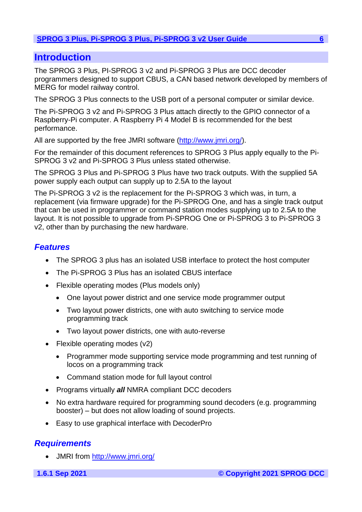# <span id="page-5-0"></span>**Introduction**

The SPROG 3 Plus, PI-SPROG 3 v2 and Pi-SPROG 3 Plus are DCC decoder programmers designed to support CBUS, a CAN based network developed by members of MERG for model railway control.

The SPROG 3 Plus connects to the USB port of a personal computer or similar device.

The Pi-SPROG 3 v2 and Pi-SPROG 3 Plus attach directly to the GPIO connector of a Raspberry-Pi computer. A Raspberry Pi 4 Model B is recommended for the best performance.

All are supported by the free JMRI software [\(http://www.jmri.org/\)](http://www.jmri.org/).

For the remainder of this document references to SPROG 3 Plus apply equally to the Pi-SPROG 3 v2 and Pi-SPROG 3 Plus unless stated otherwise.

The SPROG 3 Plus and Pi-SPROG 3 Plus have two track outputs. With the supplied 5A power supply each output can supply up to 2.5A to the layout

The Pi-SPROG 3 v2 is the replacement for the Pi-SPROG 3 which was, in turn, a replacement (via firmware upgrade) for the Pi-SPROG One, and has a single track output that can be used in programmer or command station modes supplying up to 2.5A to the layout. It is not possible to upgrade from Pi-SPROG One or Pi-SPROG 3 to Pi-SPROG 3 v2, other than by purchasing the new hardware.

# <span id="page-5-1"></span>*Features*

- The SPROG 3 plus has an isolated USB interface to protect the host computer
- The Pi-SPROG 3 Plus has an isolated CBUS interface
- Flexible operating modes (Plus models only)
	- One layout power district and one service mode programmer output
	- Two layout power districts, one with auto switching to service mode programming track
	- Two layout power districts, one with auto-reverse
- Flexible operating modes (v2)
	- Programmer mode supporting service mode programming and test running of locos on a programming track
	- Command station mode for full layout control
- Programs virtually *all* NMRA compliant DCC decoders
- No extra hardware required for programming sound decoders (e.g. programming booster) – but does not allow loading of sound projects.
- Easy to use graphical interface with DecoderPro

# <span id="page-5-2"></span>*Requirements*

• JMRI from<http://www.jmri.org/>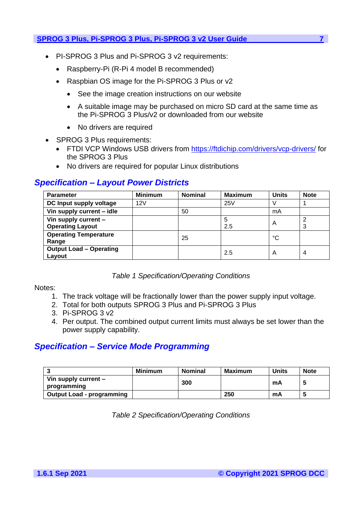- PI-SPROG 3 Plus and Pi-SPROG 3 v2 requirements:
	- Raspberry-Pi (R-Pi 4 model B recommended)
	- Raspbian OS image for the Pi-SPROG 3 Plus or v2
		- See the image creation instructions on our website
		- A suitable image may be purchased on micro SD card at the same time as the Pi-SPROG 3 Plus/v2 or downloaded from our website
		- No drivers are required
- SPROG 3 Plus requirements:
	- FTDI VCP Windows USB drivers from<https://ftdichip.com/drivers/vcp-drivers/> for the SPROG 3 Plus
	- No drivers are required for popular Linux distributions

# <span id="page-6-0"></span>*Specification – Layout Power Districts*

| <b>Parameter</b>               | <b>Minimum</b> | <b>Nominal</b> | <b>Maximum</b> | <b>Units</b> | <b>Note</b> |
|--------------------------------|----------------|----------------|----------------|--------------|-------------|
| DC Input supply voltage        | 12V            |                | 25V            | ν            |             |
| Vin supply current - idle      |                | 50             |                | mA           |             |
| Vin supply current -           |                |                | 5              | A            | 2           |
| <b>Operating Layout</b>        |                |                | 2.5            |              | 3           |
| <b>Operating Temperature</b>   |                | 25             |                | °C           |             |
| Range                          |                |                |                |              |             |
| <b>Output Load - Operating</b> |                |                | 2.5            | A            | 4           |
| Layout                         |                |                |                |              |             |

## *Table 1 Specification/Operating Conditions*

Notes:

- 1. The track voltage will be fractionally lower than the power supply input voltage.
- 2. Total for both outputs SPROG 3 Plus and Pi-SPROG 3 Plus
- 3. Pi-SPROG 3 v2
- 4. Per output. The combined output current limits must always be set lower than the power supply capability.

# <span id="page-6-1"></span>*Specification – Service Mode Programming*

|                                       | <b>Minimum</b> | <b>Nominal</b> | Maximum | Units | <b>Note</b> |
|---------------------------------------|----------------|----------------|---------|-------|-------------|
| Vin supply current $-$<br>programming |                | 300            |         | mA    |             |
| <b>Output Load - programming</b>      |                |                | 250     | mA    |             |

*Table 2 Specification/Operating Conditions*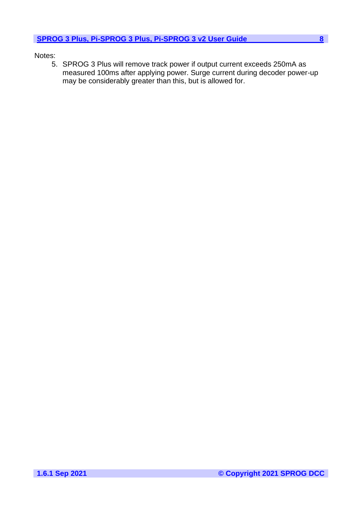## Notes:

5. SPROG 3 Plus will remove track power if output current exceeds 250mA as measured 100ms after applying power. Surge current during decoder power-up may be considerably greater than this, but is allowed for.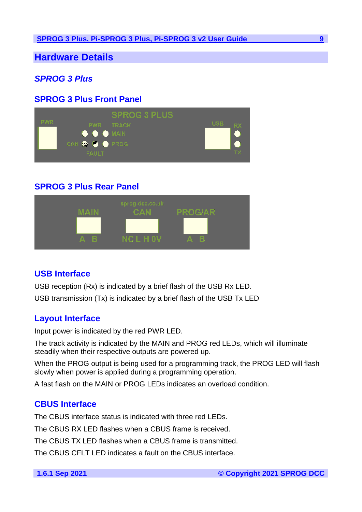<span id="page-8-0"></span>**Hardware Details**

# <span id="page-8-1"></span>*SPROG 3 Plus*

# <span id="page-8-2"></span>**SPROG 3 Plus Front Panel**



# <span id="page-8-3"></span>**SPROG 3 Plus Rear Panel**



# <span id="page-8-4"></span>**USB Interface**

USB reception (Rx) is indicated by a brief flash of the USB Rx LED. USB transmission (Tx) is indicated by a brief flash of the USB Tx LED

# <span id="page-8-5"></span>**Layout Interface**

Input power is indicated by the red PWR LED.

The track activity is indicated by the MAIN and PROG red LEDs, which will illuminate steadily when their respective outputs are powered up.

When the PROG output is being used for a programming track, the PROG LED will flash slowly when power is applied during a programming operation.

A fast flash on the MAIN or PROG LEDs indicates an overload condition.

# <span id="page-8-6"></span>**CBUS Interface**

The CBUS interface status is indicated with three red LEDs.

The CBUS RX LED flashes when a CBUS frame is received.

The CBUS TX LED flashes when a CBUS frame is transmitted.

The CBUS CFLT LED indicates a fault on the CBUS interface.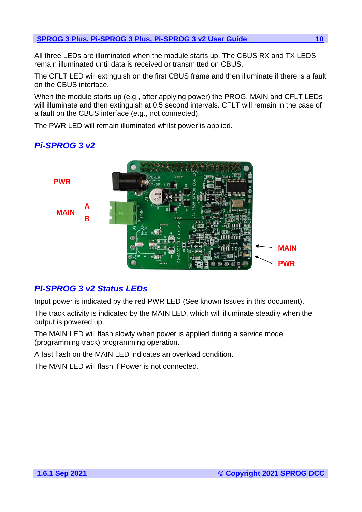All three LEDs are illuminated when the module starts up. The CBUS RX and TX LEDS remain illuminated until data is received or transmitted on CBUS.

The CFLT LED will extinguish on the first CBUS frame and then illuminate if there is a fault on the CBUS interface.

When the module starts up (e.g., after applying power) the PROG, MAIN and CFLT LEDs will illuminate and then extinguish at 0.5 second intervals. CFLT will remain in the case of a fault on the CBUS interface (e.g., not connected).

The PWR LED will remain illuminated whilst power is applied.

# <span id="page-9-0"></span>*Pi-SPROG 3 v2*



# <span id="page-9-1"></span>*PI-SPROG 3 v2 Status LEDs*

Input power is indicated by the red PWR LED (See known Issues in this document).

The track activity is indicated by the MAIN LED, which will illuminate steadily when the output is powered up.

The MAIN LED will flash slowly when power is applied during a service mode (programming track) programming operation.

A fast flash on the MAIN LED indicates an overload condition.

The MAIN LED will flash if Power is not connected.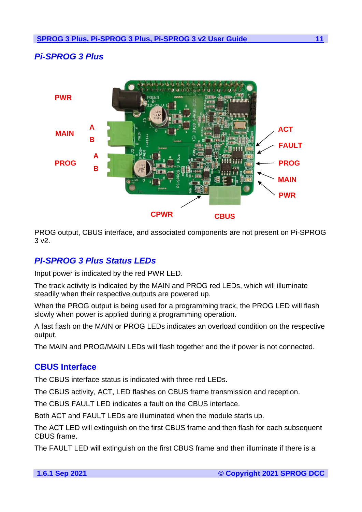# <span id="page-10-0"></span>*Pi-SPROG 3 Plus*



PROG output, CBUS interface, and associated components are not present on Pi-SPROG 3 v2.

# <span id="page-10-1"></span>*PI-SPROG 3 Plus Status LEDs*

Input power is indicated by the red PWR LED.

The track activity is indicated by the MAIN and PROG red LEDs, which will illuminate steadily when their respective outputs are powered up.

When the PROG output is being used for a programming track, the PROG LED will flash slowly when power is applied during a programming operation.

A fast flash on the MAIN or PROG LEDs indicates an overload condition on the respective output.

The MAIN and PROG/MAIN LEDs will flash together and the if power is not connected.

# <span id="page-10-2"></span>**CBUS Interface**

The CBUS interface status is indicated with three red LEDs.

The CBUS activity, ACT, LED flashes on CBUS frame transmission and reception.

The CBUS FAULT LED indicates a fault on the CBUS interface.

Both ACT and FAULT LEDs are illuminated when the module starts up.

The ACT LED will extinguish on the first CBUS frame and then flash for each subsequent CBUS frame.

The FAULT LED will extinguish on the first CBUS frame and then illuminate if there is a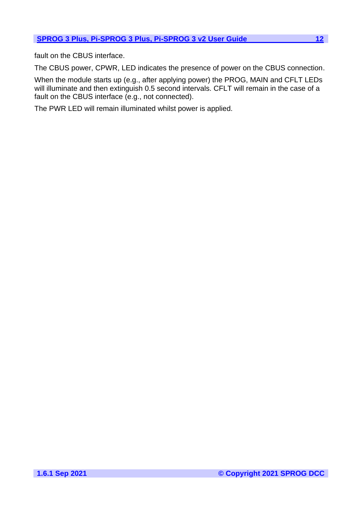fault on the CBUS interface.

The CBUS power, CPWR, LED indicates the presence of power on the CBUS connection.

When the module starts up (e.g., after applying power) the PROG, MAIN and CFLT LEDs will illuminate and then extinguish 0.5 second intervals. CFLT will remain in the case of a fault on the CBUS interface (e.g., not connected).

The PWR LED will remain illuminated whilst power is applied.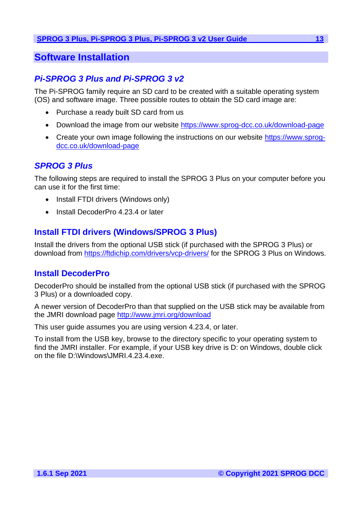# <span id="page-12-0"></span>**Software Installation**

# <span id="page-12-1"></span>*Pi-SPROG 3 Plus and Pi-SPROG 3 v2*

The Pi-SPROG family require an SD card to be created with a suitable operating system (OS) and software image. Three possible routes to obtain the SD card image are:

- Purchase a ready built SD card from us
- Download the image from our website<https://www.sprog-dcc.co.uk/download-page>
- Create your own image following the instructions on our website [https://www.sprog](https://www.sprog-dcc.co.uk/download-page)[dcc.co.uk/download-page](https://www.sprog-dcc.co.uk/download-page)

# <span id="page-12-2"></span>*SPROG 3 Plus*

The following steps are required to install the SPROG 3 Plus on your computer before you can use it for the first time:

- Install FTDI drivers (Windows only)
- Install DecoderPro 4.23.4 or later

# <span id="page-12-3"></span>**Install FTDI drivers (Windows/SPROG 3 Plus)**

Install the drivers from the optional USB stick (if purchased with the SPROG 3 Plus) or download from<https://ftdichip.com/drivers/vcp-drivers/> for the SPROG 3 Plus on Windows.

# <span id="page-12-4"></span>**Install DecoderPro**

DecoderPro should be installed from the optional USB stick (if purchased with the SPROG 3 Plus) or a downloaded copy.

A newer version of DecoderPro than that supplied on the USB stick may be available from the JMRI download page [http://www.jmri.org/download](http://jmri.sourceforge.net/download)

This user guide assumes you are using version 4.23.4, or later.

To install from the USB key, browse to the directory specific to your operating system to find the JMRI installer. For example, if your USB key drive is D: on Windows, double click on the file D:\Windows\JMRI.4.23.4.exe.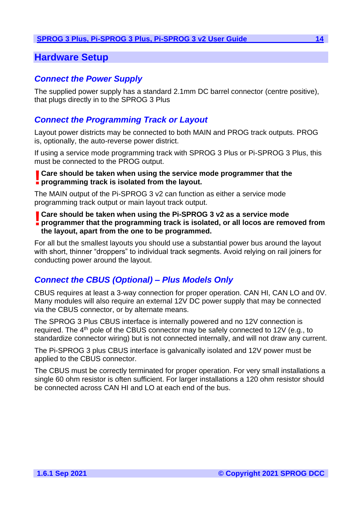# <span id="page-13-0"></span>**Hardware Setup**

# <span id="page-13-1"></span>*Connect the Power Supply*

The supplied power supply has a standard 2.1mm DC barrel connector (centre positive), that plugs directly in to the SPROG 3 Plus

# <span id="page-13-2"></span>*Connect the Programming Track or Layout*

Layout power districts may be connected to both MAIN and PROG track outputs. PROG is, optionally, the auto-reverse power district.

If using a service mode programming track with SPROG 3 Plus or Pi-SPROG 3 Plus, this must be connected to the PROG output.

# **Care should be taken when using the service mode programmer that the l** Care should be taken when using the service **reparamming track is isolated from the layout.**

The MAIN output of the Pi-SPROG 3 v2 can function as either a service mode programming track output or main layout track output.

## **Care should be taken when using the Pi-SPROG 3 v2 as a service mode<br><b>programmer that the programming track is isolated, or all locos are remetprogrammer that the programming track is isolated, or all locos are removed from the layout, apart from the one to be programmed.**

For all but the smallest layouts you should use a substantial power bus around the layout with short, thinner "droppers" to individual track segments. Avoid relying on rail joiners for conducting power around the layout.

# <span id="page-13-3"></span>*Connect the CBUS (Optional) – Plus Models Only*

CBUS requires at least a 3-way connection for proper operation. CAN HI, CAN LO and 0V. Many modules will also require an external 12V DC power supply that may be connected via the CBUS connector, or by alternate means.

The SPROG 3 Plus CBUS interface is internally powered and no 12V connection is required. The 4<sup>th</sup> pole of the CBUS connector may be safely connected to 12V (e.g., to standardize connector wiring) but is not connected internally, and will not draw any current.

The Pi-SPROG 3 plus CBUS interface is galvanically isolated and 12V power must be applied to the CBUS connector.

The CBUS must be correctly terminated for proper operation. For very small installations a single 60 ohm resistor is often sufficient. For larger installations a 120 ohm resistor should be connected across CAN HI and LO at each end of the bus.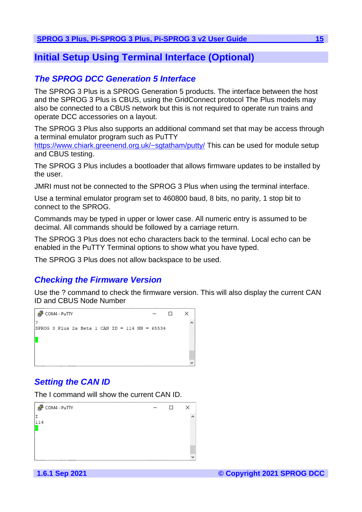# <span id="page-14-0"></span>**Initial Setup Using Terminal Interface (Optional)**

# <span id="page-14-1"></span>*The SPROG DCC Generation 5 Interface*

The SPROG 3 Plus is a SPROG Generation 5 products. The interface between the host and the SPROG 3 Plus is CBUS, using the GridConnect protocol The Plus models may also be connected to a CBUS network but this is not required to operate run trains and operate DCC accessories on a layout.

The SPROG 3 Plus also supports an additional command set that may be access through a terminal emulator program such as PuTTY

<https://www.chiark.greenend.org.uk/~sgtatham/putty/> This can be used for module setup and CBUS testing.

The SPROG 3 Plus includes a bootloader that allows firmware updates to be installed by the user.

JMRI must not be connected to the SPROG 3 Plus when using the terminal interface.

Use a terminal emulator program set to 460800 baud, 8 bits, no parity, 1 stop bit to connect to the SPROG.

Commands may be typed in upper or lower case. All numeric entry is assumed to be decimal. All commands should be followed by a carriage return.

The SPROG 3 Plus does not echo characters back to the terminal. Local echo can be enabled in the PuTTY Terminal options to show what you have typed.

The SPROG 3 Plus does not allow backspace to be used.

# <span id="page-14-2"></span>*Checking the Firmware Version*

Use the ? command to check the firmware version. This will also display the current CAN ID and CBUS Node Number



# <span id="page-14-3"></span>*Setting the CAN ID*

The I command will show the current CAN ID.

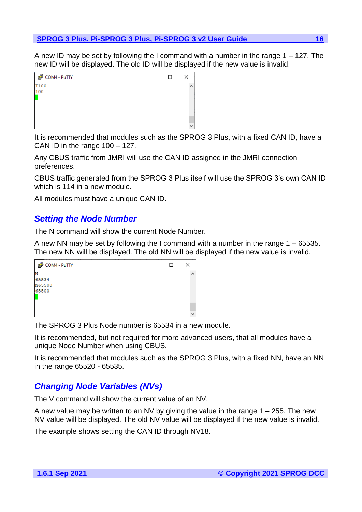A new ID may be set by following the I command with a number in the range  $1 - 127$ . The new ID will be displayed. The old ID will be displayed if the new value is invalid.



It is recommended that modules such as the SPROG 3 Plus, with a fixed CAN ID, have a CAN ID in the range 100 – 127.

Any CBUS traffic from JMRI will use the CAN ID assigned in the JMRI connection preferences.

CBUS traffic generated from the SPROG 3 Plus itself will use the SPROG 3's own CAN ID which is 114 in a new module.

All modules must have a unique CAN ID.

# <span id="page-15-0"></span>*Setting the Node Number*

The N command will show the current Node Number.

A new NN may be set by following the I command with a number in the range 1 – 65535. The new NN will be displayed. The old NN will be displayed if the new value is invalid.

| 图 COM4 - PuTTY | □ | ×                |  |
|----------------|---|------------------|--|
| N              |   | $\blacktriangle$ |  |
| 65534          |   |                  |  |
| n65500         |   |                  |  |
| 65500          |   |                  |  |
|                |   |                  |  |
|                |   |                  |  |
|                |   |                  |  |
|                |   | had              |  |

The SPROG 3 Plus Node number is 65534 in a new module.

It is recommended, but not required for more advanced users, that all modules have a unique Node Number when using CBUS.

It is recommended that modules such as the SPROG 3 Plus, with a fixed NN, have an NN in the range 65520 - 65535.

# <span id="page-15-1"></span>*Changing Node Variables (NVs)*

The V command will show the current value of an NV.

A new value may be written to an NV by giving the value in the range 1 – 255. The new NV value will be displayed. The old NV value will be displayed if the new value is invalid.

The example shows setting the CAN ID through NV18.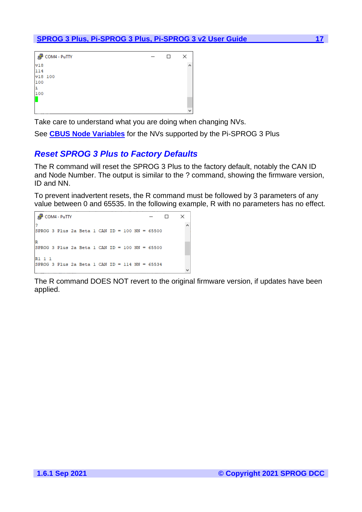| 图 COM4 - PuTTY | □ | × |
|----------------|---|---|
| v18            |   | ∧ |
| 114            |   |   |
| v18 100        |   |   |
| 100            |   |   |
| Ŀ              |   |   |
| 100            |   |   |
|                |   |   |
|                |   |   |
|                |   | w |

Take care to understand what you are doing when changing NVs.

See **[CBUS Node Variables](#page-32-0)** for the NVs supported by the Pi-SPROG 3 Plus

# <span id="page-16-0"></span>*Reset SPROG 3 Plus to Factory Defaults*

The R command will reset the SPROG 3 Plus to the factory default, notably the CAN ID and Node Number. The output is similar to the ? command, showing the firmware version, ID and NN.

To prevent inadvertent resets, the R command must be followed by 3 parameters of any value between 0 and 65535. In the following example, R with no parameters has no effect.

```
图 COM4 - PuTTY
                                                     \Box\times\hat{\mathbf{r}}SPROG 3 Plus 2a Beta 1 CAN ID = 100 NN = 65500
SPROG 3 Plus 2a Beta 1 CAN ID = 100 NN = 65500R1 1 1
SPROG 3 Plus 2a Beta 1 CAN ID = 114 NN = 65534
```
The R command DOES NOT revert to the original firmware version, if updates have been applied.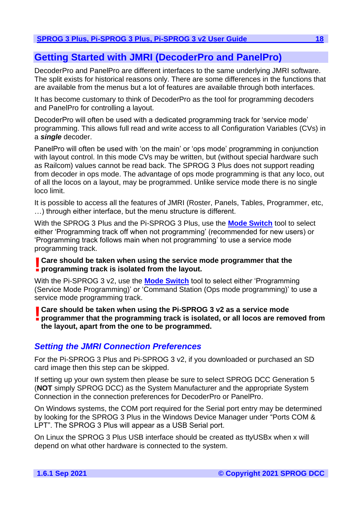# <span id="page-17-0"></span>**Getting Started with JMRI (DecoderPro and PanelPro)**

DecoderPro and PanelPro are different interfaces to the same underlying JMRI software. The split exists for historical reasons only. There are some differences in the functions that are available from the menus but a lot of features are available through both interfaces.

It has become customary to think of DecoderPro as the tool for programming decoders and PanelPro for controlling a layout.

DecoderPro will often be used with a dedicated programming track for 'service mode' programming. This allows full read and write access to all Configuration Variables (CVs) in a *single* decoder.

PanelPro will often be used with 'on the main' or 'ops mode' programming in conjunction with layout control. In this mode CVs may be written, but (without special hardware such as Railcom) values cannot be read back. The SPROG 3 Plus does not support reading from decoder in ops mode. The advantage of ops mode programming is that any loco, out of all the locos on a layout, may be programmed. Unlike service mode there is no single loco limit.

It is possible to access all the features of JMRI (Roster, Panels, Tables, Programmer, etc, …) through either interface, but the menu structure is different.

With the SPROG 3 Plus and the Pi-SPROG 3 Plus, use the **[Mode Switch](#page-23-0)** tool to select either 'Programming track off when not programming' (recommended for new users) or 'Programming track follows main when not programming' to use a service mode programming track.

# **Care should be taken when using the service mode programmer that the l** Care should be taken when using the service **repluses**<br>programming track is isolated from the layout.

With the Pi-SPROG 3 v2, use the **[Mode Switch](#page-23-0)** tool to select either 'Programming (Service Mode Programming)' or 'Command Station (Ops mode programming)' to use a service mode programming track.

**Care should be taken when using the Pi-SPROG 3 v2 as a service mode programmer that the programming track is isolated, or all locos are remediated. programmer that the programming track is isolated, or all locos are removed from the layout, apart from the one to be programmed.**

# <span id="page-17-1"></span>*Setting the JMRI Connection Preferences*

For the Pi-SPROG 3 Plus and Pi-SPROG 3 v2, if you downloaded or purchased an SD card image then this step can be skipped.

If setting up your own system then please be sure to select SPROG DCC Generation 5 (**NOT** simply SPROG DCC) as the System Manufacturer and the appropriate System Connection in the connection preferences for DecoderPro or PanelPro.

On Windows systems, the COM port required for the Serial port entry may be determined by looking for the SPROG 3 Plus in the Windows Device Manager under "Ports COM & LPT". The SPROG 3 Plus will appear as a USB Serial port.

On Linux the SPROG 3 Plus USB interface should be created as ttyUSBx when x will depend on what other hardware is connected to the system.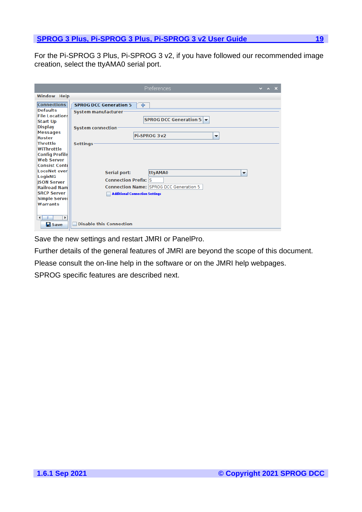For the Pi-SPROG 3 Plus, Pi-SPROG 3 v2, if you have followed our recommended image creation, select the ttyAMA0 serial port.

|                                                                                                                                                                                                                                                                                                          | Preferences                                                                                                                                                                                                                                                                                                                                        | $\overline{\phantom{a}}$ $\overline{\phantom{a}}$ $\overline{\phantom{a}}$ $\overline{\phantom{a}}$ $\overline{\phantom{a}}$ $\overline{\phantom{a}}$ $\overline{\phantom{a}}$ $\overline{\phantom{a}}$ $\overline{\phantom{a}}$ $\overline{\phantom{a}}$ $\overline{\phantom{a}}$ $\overline{\phantom{a}}$ $\overline{\phantom{a}}$ $\overline{\phantom{a}}$ $\overline{\phantom{a}}$ $\overline{\phantom{a}}$ $\overline{\phantom{a}}$ $\overline{\phantom{a}}$ $\overline{\$ |  |
|----------------------------------------------------------------------------------------------------------------------------------------------------------------------------------------------------------------------------------------------------------------------------------------------------------|----------------------------------------------------------------------------------------------------------------------------------------------------------------------------------------------------------------------------------------------------------------------------------------------------------------------------------------------------|---------------------------------------------------------------------------------------------------------------------------------------------------------------------------------------------------------------------------------------------------------------------------------------------------------------------------------------------------------------------------------------------------------------------------------------------------------------------------------|--|
| <b>Window Help</b>                                                                                                                                                                                                                                                                                       |                                                                                                                                                                                                                                                                                                                                                    |                                                                                                                                                                                                                                                                                                                                                                                                                                                                                 |  |
| <b>Connections</b><br><b>Defaults</b><br><b>File Locations</b><br><b>Start Up</b><br><b>Display</b><br><b>Messages</b><br>Roster<br>Throttle<br>WiThrottle<br><b>Config Profile</b><br><b>Web Server</b><br><b>Consist Conti</b><br>LocoNet over<br>LogixNG<br><b>JSON Server</b><br><b>Railroad Nam</b> | <b>SPROG DCC Generation 5</b><br>$\leftarrow$<br>System manufacturer<br><b>SPROG DCC Generation 5 <math>\blacktriangledown</math></b><br><b>System connection</b><br>Pi-SPROG 3 v2<br>$\overline{\phantom{a}}$<br><b>Settings</b><br><b>Serial port:</b><br>ttyAMA0<br>▼<br><b>Connection Prefix: S</b><br>Connection Name: SPROG DCC Generation 5 |                                                                                                                                                                                                                                                                                                                                                                                                                                                                                 |  |
| <b>SRCP Server</b><br><b>Simple Server</b><br><b>Warrants</b><br>$\blacktriangleright$<br>◀<br>Ш<br>$\mathbf{H}$ Save                                                                                                                                                                                    | <b>Additional Connection Settings</b><br><b>Disable this Connection</b>                                                                                                                                                                                                                                                                            |                                                                                                                                                                                                                                                                                                                                                                                                                                                                                 |  |

Save the new settings and restart JMRI or PanelPro.

Further details of the general features of JMRI are beyond the scope of this document.

Please consult the on-line help in the software or on the JMRI help webpages.

SPROG specific features are described next.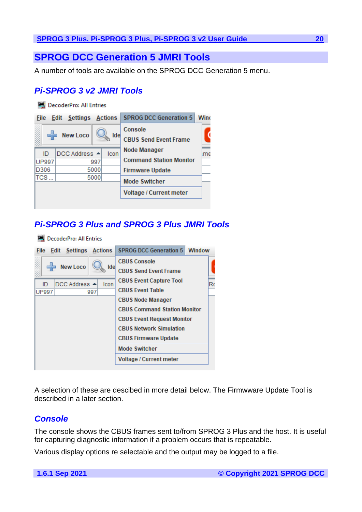# <span id="page-19-0"></span>**SPROG DCC Generation 5 JMRI Tools**

A number of tools are available on the SPROG DCC Generation 5 menu.

# <span id="page-19-1"></span>*Pi-SPROG 3 v2 JMRI Tools*

**PA DecoderPro: All Entries** 

| <b>File</b>  | <b>Edit Settings Actions</b> |      | <b>SPROG DCC Generation 5</b>  | Wind |
|--------------|------------------------------|------|--------------------------------|------|
|              | <b>New Loco</b>              | Ide  | Console                        |      |
|              |                              |      | <b>CBUS Send Event Frame</b>   |      |
| ID           | DCC Address ▲                | Icon | <b>Node Manager</b>            | me   |
| <b>UP997</b> | 997                          |      | <b>Command Station Monitor</b> |      |
| D306         | 5000                         |      | <b>Firmware Update</b>         |      |
| TCS          | 5000                         |      | <b>Mode Switcher</b>           |      |
|              |                              |      | <b>Voltage / Current meter</b> |      |
|              |                              |      |                                |      |

# <span id="page-19-2"></span>*Pi-SPROG 3 Plus and SPROG 3 Plus JMRI Tools*

**PA DecoderPro: All Entries** 



A selection of these are descibed in more detail below. The Firmwware Update Tool is described in a later section.

# <span id="page-19-3"></span>*Console*

The console shows the CBUS frames sent to/from SPROG 3 Plus and the host. It is useful for capturing diagnostic information if a problem occurs that is repeatable.

Various display options re selectable and the output may be logged to a file.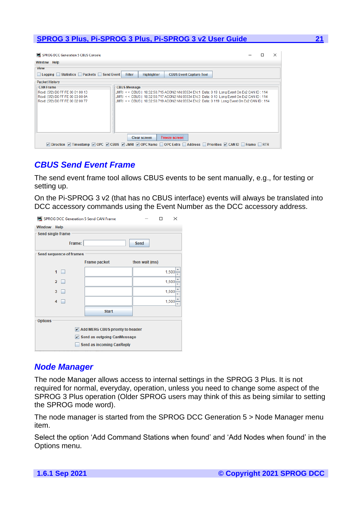| <b>MAL SPROG DCC Generation 5 CBUS Console</b>                                                                                                                                                                                                             |                     |                    |                                                                                                                                                                                                                                                                                    |  |  | × |
|------------------------------------------------------------------------------------------------------------------------------------------------------------------------------------------------------------------------------------------------------------|---------------------|--------------------|------------------------------------------------------------------------------------------------------------------------------------------------------------------------------------------------------------------------------------------------------------------------------------|--|--|---|
| Window Help                                                                                                                                                                                                                                                |                     |                    |                                                                                                                                                                                                                                                                                    |  |  |   |
| <b>View</b>                                                                                                                                                                                                                                                |                     |                    |                                                                                                                                                                                                                                                                                    |  |  |   |
| Logging Statistics Packets Send Event                                                                                                                                                                                                                      | <b>Filter</b>       | <b>Highlighter</b> | <b>CBUS Event Capture Tool</b>                                                                                                                                                                                                                                                     |  |  |   |
| <b>Packet History</b>                                                                                                                                                                                                                                      |                     |                    |                                                                                                                                                                                                                                                                                    |  |  |   |
| <b>CAN Frame</b>                                                                                                                                                                                                                                           | <b>CBUS Message</b> |                    |                                                                                                                                                                                                                                                                                    |  |  |   |
| Rovd: (5f2) D0 FF FE 00 01 00 13<br>Rcvd: (5f2) D0 FF FE 00 03 00 0A<br>Rcvd: (5f2) D0 FF FE 00 02 00 77                                                                                                                                                   |                     |                    | JMRI << CBUS   18:32:50.715 ACON2 NN:65534 EN:1 Data: 0 19 Long Event On Ex2 CAN ID: 114<br>JMRI << CBUS   18:32:50.717 ACON2 NN:65534 EN:3 Data: 0 10 Long Event On Ex2 CAN ID: 114<br>JMRI << CBUS   18:32:50.719 ACON2 NN:65534 EN:2 Data: 0 119 Long Event On Ex2 CAN ID : 114 |  |  |   |
|                                                                                                                                                                                                                                                            | Clear screen        |                    | <b>Freeze screen</b>                                                                                                                                                                                                                                                               |  |  |   |
| $\triangledown$ Direction $\triangledown$ Timestamp $\triangledown$ OPC $\triangledown$ CBUS $\triangledown$ JMRI $\triangledown$ OPC Name $\bigcap$ OPC Extra $\bigcap$ Address $\bigcap$ Priorities $\triangledown$ CAN ID $\bigcap$ Frame $\bigcap$ RTR |                     |                    |                                                                                                                                                                                                                                                                                    |  |  |   |

# <span id="page-20-0"></span>*CBUS Send Event Frame*

The send event frame tool allows CBUS events to be sent manually, e.g., for testing or setting up.

On the Pi-SPROG 3 v2 (that has no CBUS interface) events will always be translated into DCC accessory commands using the Event Number as the DCC accessory address.

| SPROG DCC Generation 5 Send CAN Frame        | ×                         |                |       |  |  |  |  |
|----------------------------------------------|---------------------------|----------------|-------|--|--|--|--|
| <b>Window Help</b>                           |                           |                |       |  |  |  |  |
| Send single frame                            |                           |                |       |  |  |  |  |
| Frame:                                       |                           | Send           |       |  |  |  |  |
| Send sequence of frames                      |                           |                |       |  |  |  |  |
|                                              | <b>Frame packet</b>       | then wait (ms) |       |  |  |  |  |
| 1                                            |                           |                | 1,500 |  |  |  |  |
| $\overline{2}$                               |                           |                | 1,500 |  |  |  |  |
| 3                                            |                           |                | 1,500 |  |  |  |  |
| 4                                            |                           |                | 1,500 |  |  |  |  |
|                                              | <b>Start</b>              |                |       |  |  |  |  |
| <b>Options</b>                               |                           |                |       |  |  |  |  |
| Add MERG CBUS priority to header             |                           |                |       |  |  |  |  |
| $\triangleright$ Send as outgoing CanMessage |                           |                |       |  |  |  |  |
|                                              | Send as incoming CanReply |                |       |  |  |  |  |
|                                              |                           |                |       |  |  |  |  |

# <span id="page-20-1"></span>*Node Manager*

The node Manager allows access to internal settings in the SPROG 3 Plus. It is not required for normal, everyday, operation, unless you need to change some aspect of the SPROG 3 Plus operation (Older SPROG users may think of this as being similar to setting the SPROG mode word).

The node manager is started from the SPROG DCC Generation 5 > Node Manager menu item.

Select the option 'Add Command Stations when found' and 'Add Nodes when found' in the Options menu.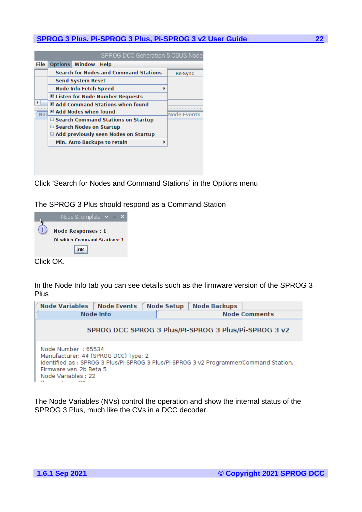|      |                                             |                                | SPROG DCC Generation 5 CBUS Node             |  |         |
|------|---------------------------------------------|--------------------------------|----------------------------------------------|--|---------|
| File | <b>Options</b>                              | <b>Window</b>                  | <b>Help</b>                                  |  |         |
|      |                                             |                                | <b>Search for Nodes and Command Stations</b> |  | Re-Sync |
|      |                                             | <b>Send System Reset</b>       |                                              |  |         |
|      | <b>Node Info Fetch Speed</b>                |                                |                                              |  |         |
|      | <b>Ø Listen for Node Number Requests</b>    |                                |                                              |  |         |
|      | Z Add Command Stations when found           |                                |                                              |  |         |
| Nod  | $\boxtimes$ Add Nodes when found            | <b>Node Events</b>             |                                              |  |         |
|      | □ Search Command Stations on Startup        |                                |                                              |  |         |
|      |                                             | $\Box$ Search Nodes on Startup |                                              |  |         |
|      | $\Box$ Add previously seen Nodes on Startup |                                |                                              |  |         |
|      |                                             |                                | Min. Auto Backups to retain                  |  |         |
|      |                                             |                                |                                              |  |         |

Click 'Search for Nodes and Command Stations' in the Options menu

The SPROG 3 Plus should respond as a Command Station

|           | Node Somplete $\sim$ $\sim$                                     |  |  |
|-----------|-----------------------------------------------------------------|--|--|
|           | <b>Node Responses: 1</b><br><b>Of which Command Stations: 1</b> |  |  |
|           | OK                                                              |  |  |
| Click OK. |                                                                 |  |  |

In the Node Info tab you can see details such as the firmware version of the SPROG 3 Plus

| Node Variables   Node Events                                                                                                                                                                         |                                                      | <b>Node Setup</b> | <b>Node Backups</b> |                      |  |  |
|------------------------------------------------------------------------------------------------------------------------------------------------------------------------------------------------------|------------------------------------------------------|-------------------|---------------------|----------------------|--|--|
|                                                                                                                                                                                                      | Node Info                                            |                   |                     | <b>Node Comments</b> |  |  |
|                                                                                                                                                                                                      | SPROG DCC SPROG 3 Plus/PI-SPROG 3 Plus/Pi-SPROG 3 v2 |                   |                     |                      |  |  |
| Node Number: 65534<br>Manufacturer: 44 (SPROG DCC) Type: 2<br>Identified as: SPROG 3 Plus/PI-SPROG 3 Plus/Pi-SPROG 3 v2 Programmer/Command Station.<br>Firmware ver: 2b Beta 5<br>Node Variables: 22 |                                                      |                   |                     |                      |  |  |

The Node Variables (NVs) control the operation and show the internal status of the SPROG 3 Plus, much like the CVs in a DCC decoder.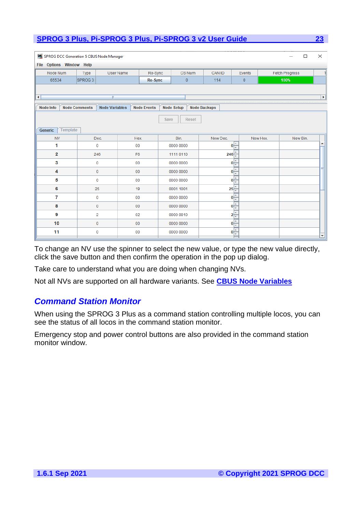| P.<br>SPROG DCC Generation 5 CBUS Node Manager<br><b>Options Window Help</b><br>File |                            |                       |                |                    |                        |                   |              |                     |                |                                              |          |                       | $\Box$ | $\times$ |
|--------------------------------------------------------------------------------------|----------------------------|-----------------------|----------------|--------------------|------------------------|-------------------|--------------|---------------------|----------------|----------------------------------------------|----------|-----------------------|--------|----------|
| Node Num                                                                             | <b>Type</b>                | <b>User Name</b>      |                | Re-Sync            |                        |                   | CS Num       | <b>CAN ID</b>       |                | Events                                       |          | <b>Fetch Progress</b> |        | T        |
| 65534                                                                                | SPROG <sub>3</sub>         |                       |                | <b>Re-Sync</b>     |                        |                   | $\mathbf{0}$ | 114                 |                | $\pmb{0}$                                    |          | 100%                  |        |          |
|                                                                                      |                            |                       |                |                    |                        |                   |              |                     |                |                                              |          |                       |        |          |
| 4                                                                                    | Ш<br>$\blacktriangleright$ |                       |                |                    |                        |                   |              |                     |                |                                              |          |                       |        |          |
| <b>Node Info</b>                                                                     | <b>Node Comments</b>       | <b>Node Variables</b> |                | <b>Node Events</b> |                        | <b>Node Setup</b> |              | <b>Node Backups</b> |                |                                              |          |                       |        |          |
|                                                                                      |                            |                       |                |                    | Save                   |                   | <b>Reset</b> |                     |                |                                              |          |                       |        |          |
|                                                                                      |                            |                       |                |                    |                        |                   |              |                     |                |                                              |          |                       |        |          |
| Template<br>Generic                                                                  |                            |                       |                |                    |                        |                   |              |                     |                |                                              |          |                       |        |          |
| <b>NV</b><br>1                                                                       | Dec.                       |                       | Hex.<br>00     |                    |                        | Bin.              |              | New Dec.            |                | $\mathbf{0}$ $\frac{\mathbf{A}}{\mathbf{B}}$ | New Hex. | New Bin.              |        |          |
| $\overline{2}$                                                                       | 0<br>246                   |                       | F <sub>6</sub> |                    | 0000 0000<br>1111 0110 |                   |              |                     |                |                                              |          |                       |        |          |
| 3                                                                                    |                            |                       |                |                    |                        |                   |              |                     | $246 -$        | $\Delta$                                     |          |                       |        |          |
| 4                                                                                    | 0                          |                       | 00             |                    |                        | 0000 0000         |              |                     | 0 <sup>1</sup> | ψ<br>$0\frac{1}{2}$                          |          |                       |        |          |
|                                                                                      | 0                          |                       | 00             |                    |                        | 0000 0000         |              |                     |                |                                              |          |                       |        |          |
| 5                                                                                    | 0                          |                       | 00             |                    |                        | 0000 0000         |              |                     |                | $0\frac{1}{2}$                               |          |                       |        |          |
| 6                                                                                    | 25                         |                       | 19             |                    |                        | 0001 1001         |              |                     |                | $25 -$                                       |          |                       |        |          |
| 7                                                                                    | $\mathbf 0$                |                       | 00             |                    |                        | 0000 0000         |              |                     |                | $\mathbf{0}$ $\frac{\mathbf{A}}{\mathbf{B}}$ |          |                       |        |          |
| 8                                                                                    | 0                          |                       | 00             |                    |                        | 0000 0000         |              |                     |                | $\mathbf{0}$ $\frac{\mathbf{1}}{\mathbf{1}}$ |          |                       |        |          |
| 9                                                                                    | 2                          |                       | 02             |                    |                        | 0000 0010         |              |                     |                | $2\frac{2}{7}$                               |          |                       |        |          |
| 10                                                                                   | 0                          |                       | 00             |                    |                        | 0000 0000         |              |                     |                | $0\frac{1}{2}$                               |          |                       |        |          |
| 11                                                                                   | 0                          |                       | 00             |                    |                        | 0000 0000         |              |                     |                | $0\frac{1}{2}$                               |          |                       |        | ٠        |

To change an NV use the spinner to select the new value, or type the new value directly, click the save button and then confirm the operation in the pop up dialog.

Take care to understand what you are doing when changing NVs.

Not all NVs are supported on all hardware variants. See **[CBUS Node Variables](#page-32-0)**

# <span id="page-22-0"></span>*Command Station Monitor*

When using the SPROG 3 Plus as a command station controlling multiple locos, you can see the status of all locos in the command station monitor.

Emergency stop and power control buttons are also provided in the command station monitor window.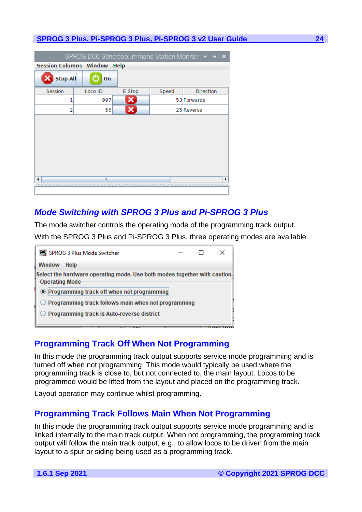| SPROG DCC Generatiommand Station Monitor v ^ X |                                       |        |       |                  |  |  |  |  |
|------------------------------------------------|---------------------------------------|--------|-------|------------------|--|--|--|--|
|                                                | <b>Session Columns Window</b><br>Help |        |       |                  |  |  |  |  |
| <b>Stop All</b>                                | On                                    |        |       |                  |  |  |  |  |
| <b>Session</b>                                 | Loco ID                               | E Stop | Speed | <b>Direction</b> |  |  |  |  |
| ı                                              | 997                                   |        |       | 53 Forwards      |  |  |  |  |
| 2                                              | 56                                    |        |       | 25 Reverse       |  |  |  |  |
|                                                |                                       |        |       |                  |  |  |  |  |
|                                                |                                       |        |       |                  |  |  |  |  |
|                                                |                                       |        |       |                  |  |  |  |  |
|                                                |                                       |        |       |                  |  |  |  |  |
|                                                |                                       |        |       |                  |  |  |  |  |
|                                                |                                       |        |       |                  |  |  |  |  |
|                                                | Ш                                     |        |       | Þ                |  |  |  |  |
|                                                |                                       |        |       |                  |  |  |  |  |
|                                                |                                       |        |       |                  |  |  |  |  |

# <span id="page-23-0"></span>*Mode Switching with SPROG 3 Plus and Pi-SPROG 3 Plus*

The mode switcher controls the operating mode of the programming track output. With the SPROG 3 Plus and Pi-SPROG 3 Plus, three operating modes are available.



# <span id="page-23-1"></span>**Programming Track Off When Not Programming**

In this mode the programming track output supports service mode programming and is turned off when not programming. This mode would typically be used where the programming track is close to, but not connected to, the main layout. Locos to be programmed would be lifted from the layout and placed on the programming track.

Layout operation may continue whilst programming.

# <span id="page-23-2"></span>**Programming Track Follows Main When Not Programming**

In this mode the programming track output supports service mode programming and is linked internally to the main track output. When not programming, the programming track output will follow the main track output, e.g., to allow locos to be driven from the main layout to a spur or siding being used as a programming track.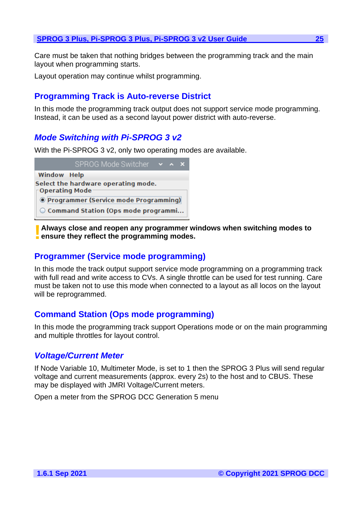Care must be taken that nothing bridges between the programming track and the main layout when programming starts.

Layout operation may continue whilst programming.

# <span id="page-24-0"></span>**Programming Track is Auto-reverse District**

In this mode the programming track output does not support service mode programming. Instead, it can be used as a second layout power district with auto-reverse.

# <span id="page-24-1"></span>*Mode Switching with Pi-SPROG 3 v2*

With the Pi-SPROG 3 v2, only two operating modes are available.



**Always close and reopen any programmer windows when switching modes to Example 12 Always close and reopen any programmer w<br><b>P** ensure they reflect the programming modes.

# <span id="page-24-2"></span>**Programmer (Service mode programming)**

In this mode the track output support service mode programming on a programming track with full read and write access to CVs. A single throttle can be used for test running. Care must be taken not to use this mode when connected to a layout as all locos on the layout will be reprogrammed.

# <span id="page-24-3"></span>**Command Station (Ops mode programming)**

In this mode the programming track support Operations mode or on the main programming and multiple throttles for layout control.

# <span id="page-24-4"></span>*Voltage/Current Meter*

If Node Variable 10, Multimeter Mode, is set to 1 then the SPROG 3 Plus will send regular voltage and current measurements (approx. every 2s) to the host and to CBUS. These may be displayed with JMRI Voltage/Current meters.

Open a meter from the SPROG DCC Generation 5 menu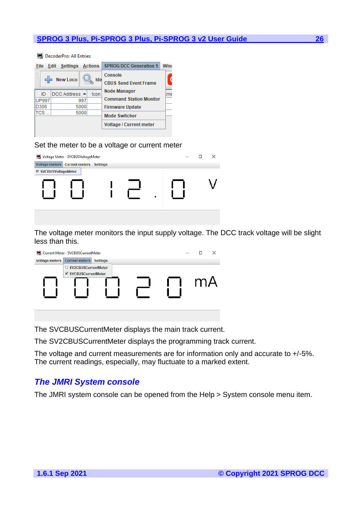| <b>DecoderPro: All Entries</b> |                              |                                   |  |                                         |      |  |
|--------------------------------|------------------------------|-----------------------------------|--|-----------------------------------------|------|--|
| File                           | <b>Edit Settings Actions</b> |                                   |  | <b>SPROG DCC Generation 5</b>           | Wind |  |
| <b>New Loco</b><br>Ide         |                              |                                   |  | Console<br><b>CBUS Send Event Frame</b> |      |  |
| ID                             |                              | $DCC$ Address $\triangle$<br>Icon |  | <b>Node Manager</b>                     | lme  |  |
| <b>UP997</b>                   |                              | 997                               |  | <b>Command Station Monitor</b>          |      |  |
| D306                           |                              | 5000                              |  | <b>Firmware Update</b>                  |      |  |
| TCS                            |                              | 5000                              |  | <b>Mode Switcher</b>                    |      |  |
|                                |                              |                                   |  | <b>Voltage / Current meter</b>          |      |  |
|                                |                              |                                   |  |                                         |      |  |

### Set the meter to be a voltage or current meter

| Voltage Meter - SVCBUSVoltageMeter |                                        |  |  |  |  |  | × |
|------------------------------------|----------------------------------------|--|--|--|--|--|---|
|                                    | Voltage meters Current meters Settings |  |  |  |  |  |   |
| <b>Ø SVCBUSVoltageMeter</b>        |                                        |  |  |  |  |  |   |
|                                    |                                        |  |  |  |  |  |   |
|                                    |                                        |  |  |  |  |  |   |

The voltage meter monitors the input supply voltage. The DCC track voltage will be slight less than this.

| Current Meter - SVCBUSCurrentMeter |                             |                 |  |  |  |   | × |
|------------------------------------|-----------------------------|-----------------|--|--|--|---|---|
| <b>Voltage meters</b>              | <b>Current meters</b>       | <b>Settings</b> |  |  |  |   |   |
|                                    | □ SV2CBUSCurrentMeter       |                 |  |  |  |   |   |
|                                    | <b>■ SVCBUSCurrentMeter</b> |                 |  |  |  |   |   |
|                                    |                             |                 |  |  |  | m |   |
|                                    |                             |                 |  |  |  |   |   |
|                                    |                             |                 |  |  |  |   |   |
|                                    |                             |                 |  |  |  |   |   |
|                                    |                             |                 |  |  |  |   |   |

The SVCBUSCurrentMeter displays the main track current.

The SV2CBUSCurrentMeter displays the programming track current.

The voltage and current measurements are for information only and accurate to +/-5%. The current readings, especially, may fluctuate to a marked extent.

# <span id="page-25-0"></span>*The JMRI System console*

The JMRI system console can be opened from the Help > System console menu item.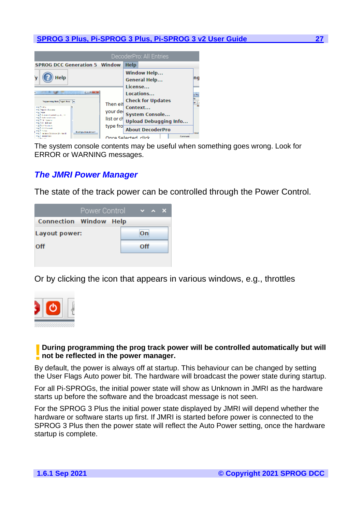|                                                                                                                                                                                                                                                                                                                                                       |                                                | DecoderPro: All Entries                                                                                                 |          |                                      |
|-------------------------------------------------------------------------------------------------------------------------------------------------------------------------------------------------------------------------------------------------------------------------------------------------------------------------------------------------------|------------------------------------------------|-------------------------------------------------------------------------------------------------------------------------|----------|--------------------------------------|
| <b>SPROG DCC Generation 5 Window</b>                                                                                                                                                                                                                                                                                                                  |                                                | Help                                                                                                                    |          |                                      |
| Help<br>$2 - 14 = 27$                                                                                                                                                                                                                                                                                                                                 |                                                | <b>Window Help</b><br>General Help<br>License<br>Locations                                                              |          | na<br><b>SIMPLE</b>                  |
| Registrating Mode Page   Mode   =<br><b>HERMAN</b><br><b>FLIDARISH BASINE</b><br><b>PELL</b> NOW<br>5. Juli Develope Institutions by 11.<br><b>Hall Technique France</b><br><b>HETH DAVA</b><br><b>Hag Of Billiam</b><br><b>KIND ON DIRECT</b><br>-L'excomme<br><b>Information</b><br>Read fune from decorate<br><b>Manifestal Penaltiles</b> Sumilia | Then eit<br>vour del<br>list or ch<br>type fro | <b>Check for Updates</b><br>Context<br><b>System Console</b><br><b>Upload Debugging Info</b><br><b>About DecoderPro</b> |          | las<br>$\frac{M}{M}$<br><b>Limit</b> |
| <b>CLE BROTON</b>                                                                                                                                                                                                                                                                                                                                     |                                                | Onco Soloctod, click                                                                                                    | Comment: |                                      |

The system console contents may be useful when something goes wrong. Look for ERROR or WARNING messages.

# <span id="page-26-0"></span>*The JMRI Power Manager*

The state of the track power can be controlled through the Power Control.

|                               | Power Control |  |     | $\vee$ $\wedge$ X |  |
|-------------------------------|---------------|--|-----|-------------------|--|
| <b>Connection Window Help</b> |               |  |     |                   |  |
| Layout power:                 | On            |  |     |                   |  |
| Off                           |               |  | Off |                   |  |
|                               |               |  |     |                   |  |

Or by clicking the icon that appears in various windows, e.g., throttles



# **During programming the prog track power will be controlled automatically but will not be reflected in the power manager. not be reflected in the power manager.**

By default, the power is always off at startup. This behaviour can be changed by setting the User Flags Auto power bit. The hardware will broadcast the power state during startup.

For all Pi-SPROGs, the initial power state will show as Unknown in JMRI as the hardware starts up before the software and the broadcast message is not seen.

For the SPROG 3 Plus the initial power state displayed by JMRI will depend whether the hardware or software starts up first. If JMRI is started before power is connected to the SPROG 3 Plus then the power state will reflect the Auto Power setting, once the hardware startup is complete.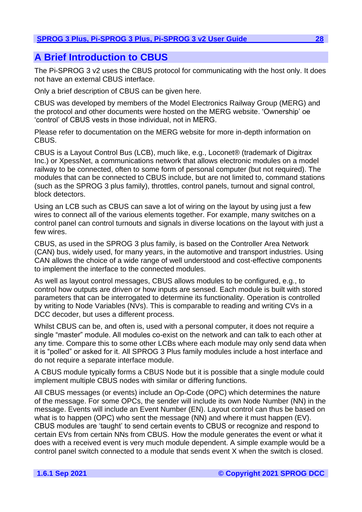# <span id="page-27-0"></span>**A Brief Introduction to CBUS**

The Pi-SPROG 3 v2 uses the CBUS protocol for communicating with the host only. It does not have an external CBUS interface.

Only a brief description of CBUS can be given here.

CBUS was developed by members of the Model Electronics Railway Group (MERG) and the protocol and other documents were hosted on the MERG website. 'Ownership' oe 'control' of CBUS vests in those individual, not in MERG.

Please refer to documentation on the MERG website for more in-depth information on CBUS.

CBUS is a Layout Control Bus (LCB), much like, e.g., Loconet® (trademark of Digitrax Inc.) or XpessNet, a communications network that allows electronic modules on a model railway to be connected, often to some form of personal computer (but not required). The modules that can be connected to CBUS include, but are not limited to, command stations (such as the SPROG 3 plus family), throttles, control panels, turnout and signal control, block detectors.

Using an LCB such as CBUS can save a lot of wiring on the layout by using just a few wires to connect all of the various elements together. For example, many switches on a control panel can control turnouts and signals in diverse locations on the layout with just a few wires.

CBUS, as used in the SPROG 3 plus family, is based on the Controller Area Network (CAN) bus, widely used, for many years, in the automotive and transport industries. Using CAN allows the choice of a wide range of well understood and cost-effective components to implement the interface to the connected modules.

As well as layout control messages, CBUS allows modules to be configured, e.g., to control how outputs are driven or how inputs are sensed. Each module is built with stored parameters that can be interrogated to determine its functionality. Operation is controlled by writing to Node Variables (NVs). This is comparable to reading and writing CVs in a DCC decoder, but uses a different process.

Whilst CBUS can be, and often is, used with a personal computer, it does not require a single "master" module. All modules co-exist on the network and can talk to each other at any time. Compare this to some other LCBs where each module may only send data when it is "polled" or asked for it. All SPROG 3 Plus family modules include a host interface and do not require a separate interface module.

A CBUS module typically forms a CBUS Node but it is possible that a single module could implement multiple CBUS nodes with similar or differing functions.

All CBUS messages (or events) include an Op-Code (OPC) which determines the nature of the message. For some OPCs, the sender will include its own Node Number (NN) in the message. Events will include an Event Number (EN). Layout control can thus be based on what is to happen (OPC) who sent the message (NN) and where it must happen (EV). CBUS modules are 'taught' to send certain events to CBUS or recognize and respond to certain EVs from certain NNs from CBUS. How the module generates the event or what it does with a received event is very much module dependent. A simple example would be a control panel switch connected to a module that sends event X when the switch is closed.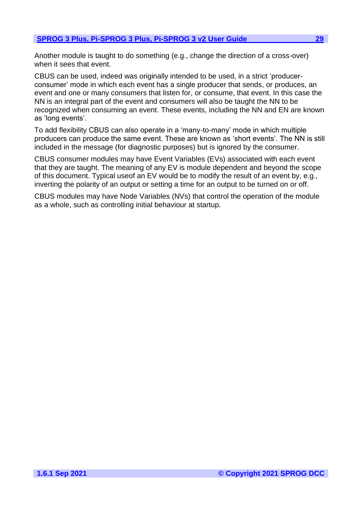Another module is taught to do something (e.g., change the direction of a cross-over) when it sees that event.

CBUS can be used, indeed was originally intended to be used, in a strict 'producerconsumer' mode in which each event has a single producer that sends, or produces, an event and one or many consumers that listen for, or consume, that event. In this case the NN is an integral part of the event and consumers will also be taught the NN to be recognized when consuming an event. These events, including the NN and EN are known as 'long events'.

To add flexibility CBUS can also operate in a 'many-to-many' mode in which multiple producers can produce the same event. These are known as 'short events'. The NN is still included in the message (for diagnostic purposes) but is ignored by the consumer.

CBUS consumer modules may have Event Variables (EVs) associated with each event that they are taught. The meaning of any EV is module dependent and beyond the scope of this document. Typical useof an EV would be to modify the result of an event by, e.g., inverting the polarity of an output or setting a time for an output to be turned on or off.

CBUS modules may have Node Variables (NVs) that control the operation of the module as a whole, such as controlling initial behaviour at startup.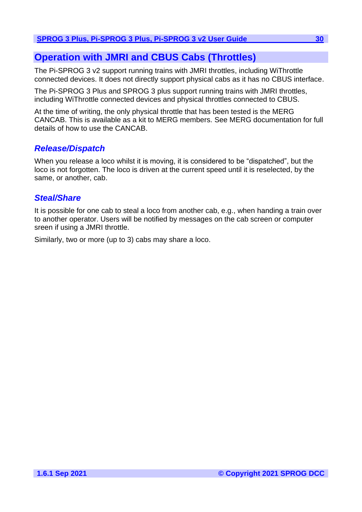# <span id="page-29-0"></span>**Operation with JMRI and CBUS Cabs (Throttles)**

The Pi-SPROG 3 v2 support running trains with JMRI throttles, including WiThrottle connected devices. It does not directly support physical cabs as it has no CBUS interface.

The Pi-SPROG 3 Plus and SPROG 3 plus support running trains with JMRI throttles, including WiThrottle connected devices and physical throttles connected to CBUS.

At the time of writing, the only physical throttle that has been tested is the MERG CANCAB. This is available as a kit to MERG members. See MERG documentation for full details of how to use the CANCAB.

# <span id="page-29-1"></span>*Release/Dispatch*

When you release a loco whilst it is moving, it is considered to be "dispatched", but the loco is not forgotten. The loco is driven at the current speed until it is reselected, by the same, or another, cab.

# <span id="page-29-2"></span>*Steal/Share*

It is possible for one cab to steal a loco from another cab, e.g., when handing a train over to another operator. Users will be notified by messages on the cab screen or computer sreen if using a JMRI throttle.

Similarly, two or more (up to 3) cabs may share a loco.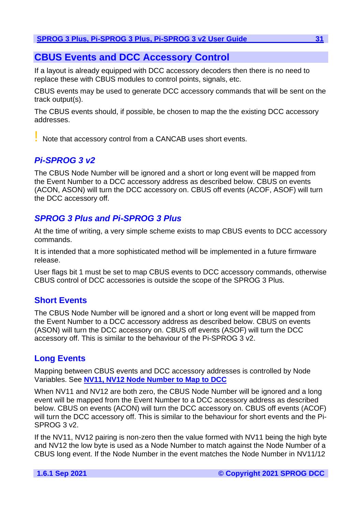# <span id="page-30-0"></span>**CBUS Events and DCC Accessory Control**

If a layout is already equipped with DCC accessory decoders then there is no need to replace these with CBUS modules to control points, signals, etc.

CBUS events may be used to generate DCC accessory commands that will be sent on the track output(s).

The CBUS events should, if possible, be chosen to map the the existing DCC accessory addresses.

! Note that accessory control from a CANCAB uses short events.

# <span id="page-30-1"></span>*Pi-SPROG 3 v2*

The CBUS Node Number will be ignored and a short or long event will be mapped from the Event Number to a DCC accessory address as described below. CBUS on events (ACON, ASON) will turn the DCC accessory on. CBUS off events (ACOF, ASOF) will turn the DCC accessory off.

# <span id="page-30-2"></span>*SPROG 3 Plus and Pi-SPROG 3 Plus*

At the time of writing, a very simple scheme exists to map CBUS events to DCC accessory commands.

It is intended that a more sophisticated method will be implemented in a future firmware release.

User flags bit 1 must be set to map CBUS events to DCC accessory commands, otherwise CBUS control of DCC accessories is outside the scope of the SPROG 3 Plus.

# <span id="page-30-3"></span>**Short Events**

The CBUS Node Number will be ignored and a short or long event will be mapped from the Event Number to a DCC accessory address as described below. CBUS on events (ASON) will turn the DCC accessory on. CBUS off events (ASOF) will turn the DCC accessory off. This is similar to the behaviour of the Pi-SPROG 3 v2.

# <span id="page-30-4"></span>**Long Events**

Mapping between CBUS events and DCC accessory addresses is controlled by Node Variables. See **[NV11, NV12 Node Number to Map to DCC](#page-34-7)**

When NV11 and NV12 are both zero, the CBUS Node Number will be ignored and a long event will be mapped from the Event Number to a DCC accessory address as described below. CBUS on events (ACON) will turn the DCC accessory on. CBUS off events (ACOF) will turn the DCC accessory off. This is similar to the behaviour for short events and the Pi-SPROG 3 v2.

If the NV11, NV12 pairing is non-zero then the value formed with NV11 being the high byte and NV12 the low byte is used as a Node Number to match against the Node Number of a CBUS long event. If the Node Number in the event matches the Node Number in NV11/12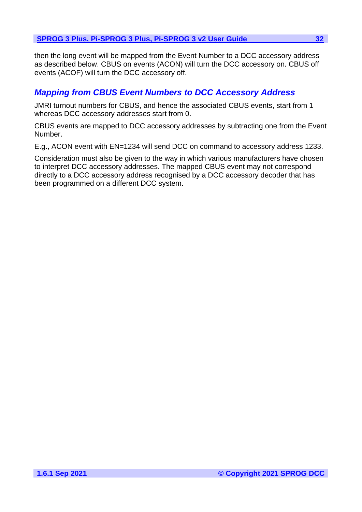then the long event will be mapped from the Event Number to a DCC accessory address as described below. CBUS on events (ACON) will turn the DCC accessory on. CBUS off events (ACOF) will turn the DCC accessory off.

# <span id="page-31-0"></span>*Mapping from CBUS Event Numbers to DCC Accessory Address*

JMRI turnout numbers for CBUS, and hence the associated CBUS events, start from 1 whereas DCC accessory addresses start from 0.

CBUS events are mapped to DCC accessory addresses by subtracting one from the Event Number.

E.g., ACON event with EN=1234 will send DCC on command to accessory address 1233.

Consideration must also be given to the way in which various manufacturers have chosen to interpret DCC accessory addresses. The mapped CBUS event may not correspond directly to a DCC accessory address recognised by a DCC accessory decoder that has been programmed on a different DCC system.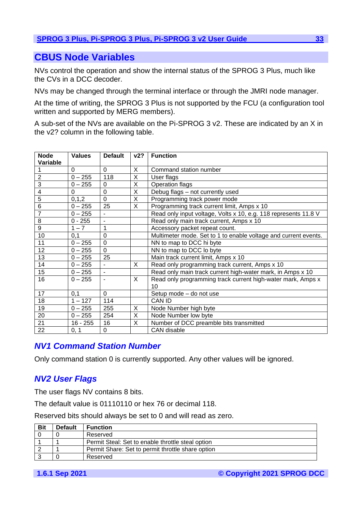# <span id="page-32-0"></span>**CBUS Node Variables**

NVs control the operation and show the internal status of the SPROG 3 Plus, much like the CVs in a DCC decoder.

NVs may be changed through the terminal interface or through the JMRI node manager.

At the time of writing, the SPROG 3 Plus is not supported by the FCU (a configuration tool written and supported by MERG members).

A sub-set of the NVs are available on the Pi-SPROG 3 v2. These are indicated by an X in the v2? column in the following table.

| <b>Node</b><br>Variable | <b>Values</b> | <b>Default</b>           | v2?            | <b>Function</b>                                                 |
|-------------------------|---------------|--------------------------|----------------|-----------------------------------------------------------------|
|                         | $\Omega$      | $\Omega$                 | X              | Command station number                                          |
| $\overline{2}$          | $0 - 255$     | 118                      | $\overline{X}$ | User flags                                                      |
| 3                       | $0 - 255$     | $\Omega$                 | X              | Operation flags                                                 |
| 4                       | $\Omega$      | 0                        | X              | Debug flags - not currently used                                |
| 5                       | 0, 1, 2       | $\overline{0}$           | X              | Programming track power mode                                    |
| $6\phantom{1}6$         | $0 - 255$     | 25                       | X              | Programming track current limit, Amps x 10                      |
| $\overline{7}$          | $0 - 255$     | $\blacksquare$           |                | Read only input voltage, Volts x 10, e.g. 118 represents 11.8 V |
| 8                       | $0 - 255$     | $\blacksquare$           |                | Read only main track current, Amps x 10                         |
| 9                       | $1 - 7$       | $\overline{1}$           |                | Accessory packet repeat count.                                  |
| 10                      | 0,1           | $\mathbf 0$              |                | Multimeter mode. Set to 1 to enable voltage and current events. |
| 11                      | $0 - 255$     | $\overline{0}$           |                | NN to map to DCC hi byte                                        |
| 12                      | $0 - 255$     | $\overline{0}$           |                | NN to map to DCC lo byte                                        |
| 13                      | $0 - 255$     | 25                       |                | Main track current limit, Amps x 10                             |
| 14                      | $0 - 255$     | $\blacksquare$           | X              | Read only programming track current, Amps x 10                  |
| 15                      | $0 - 255$     | $\overline{\phantom{0}}$ |                | Read only main track current high-water mark, in Amps x 10      |
| 16                      | $0 - 255$     |                          | X              | Read only programming track current high-water mark, Amps x     |
|                         |               |                          |                | 10                                                              |
| 17                      | 0,1           | $\mathbf 0$              |                | Setup mode - do not use                                         |
| 18                      | $1 - 127$     | 114                      |                | <b>CAN ID</b>                                                   |
| 19                      | $0 - 255$     | 255                      | X              | Node Number high byte                                           |
| 20                      | $0 - 255$     | 254                      | X              | Node Number low byte                                            |
| 21                      | $16 - 255$    | 16                       | X              | Number of DCC preamble bits transmitted                         |
| 22                      | 0, 1          | 0                        |                | <b>CAN</b> disable                                              |

# <span id="page-32-1"></span>*NV1 Command Station Number*

Only command station 0 is currently supported. Any other values will be ignored.

# <span id="page-32-2"></span>*NV2 User Flags*

The user flags NV contains 8 bits.

The default value is 01110110 or hex 76 or decimal 118.

Reserved bits should always be set to 0 and will read as zero.

| <b>Bit</b> | <b>Default</b> | <b>Function</b>                                   |
|------------|----------------|---------------------------------------------------|
|            |                | Reserved                                          |
|            |                | Permit Steal: Set to enable throttle steal option |
|            |                | Permit Share: Set to permit throttle share option |
|            |                | Reserved                                          |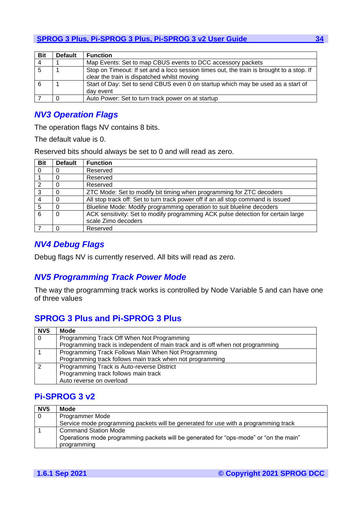| <b>Bit</b> | <b>Default</b> | <b>Function</b>                                                                                                                         |
|------------|----------------|-----------------------------------------------------------------------------------------------------------------------------------------|
| 4          |                | Map Events: Set to map CBUS events to DCC accessory packets                                                                             |
|            |                | Stop on Timeout: If set and a loco session times out, the train is brought to a stop. If<br>clear the train is dispatched whilst moving |
|            |                | Start of Day: Set to send CBUS even 0 on startup which may be used as a start of<br>day event                                           |
|            |                | Auto Power: Set to turn track power on at startup                                                                                       |

# <span id="page-33-0"></span>*NV3 Operation Flags*

The operation flags NV contains 8 bits.

The default value is 0.

Reserved bits should always be set to 0 and will read as zero.

| <b>Bit</b> | <b>Default</b> | <b>Function</b>                                                                  |
|------------|----------------|----------------------------------------------------------------------------------|
| 0          |                | Reserved                                                                         |
|            |                | Reserved                                                                         |
| າ          | 0              | Reserved                                                                         |
| 3          |                | ZTC Mode: Set to modify bit timing when programming for ZTC decoders             |
|            | $\Omega$       | All stop track off: Set to turn track power off if an all stop command is issued |
| 5          | 0              | Blueline Mode: Modify programming operation to suit blueline decoders            |
| 6          | 0              | ACK sensitivity: Set to modify programming ACK pulse detection for certain large |
|            |                | scale Zimo decoders                                                              |
|            | 0              | Reserved                                                                         |

# <span id="page-33-1"></span>*NV4 Debug Flags*

Debug flags NV is currently reserved. All bits will read as zero.

# <span id="page-33-2"></span>*NV5 Programming Track Power Mode*

The way the programming track works is controlled by Node Variable 5 and can have one of three values

# <span id="page-33-3"></span>**SPROG 3 Plus and Pi-SPROG 3 Plus**

| NV <sub>5</sub> | <b>Mode</b>                                                                    |
|-----------------|--------------------------------------------------------------------------------|
| $\Omega$        | Programming Track Off When Not Programming                                     |
|                 | Programming track is independent of main track and is off when not programming |
|                 | Programming Track Follows Main When Not Programming                            |
|                 | Programming track follows main track when not programming                      |
|                 | Programming Track is Auto-reverse District                                     |
|                 | Programming track follows main track                                           |
|                 | Auto reverse on overload                                                       |

# <span id="page-33-4"></span>**Pi-SPROG 3 v2**

| NV <sub>5</sub> | Mode                                                                                  |
|-----------------|---------------------------------------------------------------------------------------|
| $\Omega$        | <b>Programmer Mode</b>                                                                |
|                 | Service mode programming packets will be generated for use with a programming track   |
|                 | <b>Command Station Mode</b>                                                           |
|                 | Operations mode programming packets will be generated for "ops-mode" or "on the main" |
|                 | programming                                                                           |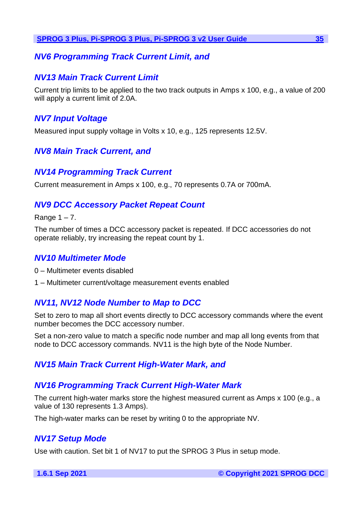# <span id="page-34-0"></span>*NV6 Programming Track Current Limit, and*

# <span id="page-34-1"></span>*NV13 Main Track Current Limit*

Current trip limits to be applied to the two track outputs in Amps x 100, e.g., a value of 200 will apply a current limit of 2.0A.

# <span id="page-34-2"></span>*NV7 Input Voltage*

Measured input supply voltage in Volts x 10, e.g., 125 represents 12.5V.

# <span id="page-34-3"></span>*NV8 Main Track Current, and*

# <span id="page-34-4"></span>*NV14 Programming Track Current*

Current measurement in Amps x 100, e.g., 70 represents 0.7A or 700mA.

# <span id="page-34-5"></span>*NV9 DCC Accessory Packet Repeat Count*

Range  $1 - 7$ .

The number of times a DCC accessory packet is repeated. If DCC accessories do not operate reliably, try increasing the repeat count by 1.

# <span id="page-34-6"></span>*NV10 Multimeter Mode*

0 – Multimeter events disabled

1 – Multimeter current/voltage measurement events enabled

# <span id="page-34-7"></span>*NV11, NV12 Node Number to Map to DCC*

Set to zero to map all short events directly to DCC accessory commands where the event number becomes the DCC accessory number.

Set a non-zero value to match a specific node number and map all long events from that node to DCC accessory commands. NV11 is the high byte of the Node Number.

# <span id="page-34-8"></span>*NV15 Main Track Current High-Water Mark, and*

# <span id="page-34-9"></span>*NV16 Programming Track Current High-Water Mark*

The current high-water marks store the highest measured current as Amps x 100 (e.g., a value of 130 represents 1.3 Amps).

The high-water marks can be reset by writing 0 to the appropriate NV.

# <span id="page-34-10"></span>*NV17 Setup Mode*

Use with caution. Set bit 1 of NV17 to put the SPROG 3 Plus in setup mode.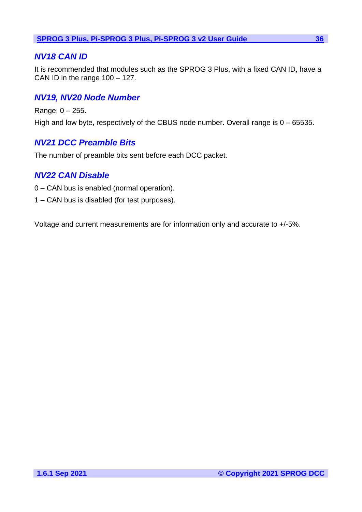# <span id="page-35-0"></span>*NV18 CAN ID*

It is recommended that modules such as the SPROG 3 Plus, with a fixed CAN ID, have a CAN ID in the range 100 – 127.

# <span id="page-35-1"></span>*NV19, NV20 Node Number*

Range: 0 – 255. High and low byte, respectively of the CBUS node number. Overall range is 0 – 65535.

# <span id="page-35-2"></span>*NV21 DCC Preamble Bits*

The number of preamble bits sent before each DCC packet.

# <span id="page-35-3"></span>*NV22 CAN Disable*

- 0 CAN bus is enabled (normal operation).
- 1 CAN bus is disabled (for test purposes).

Voltage and current measurements are for information only and accurate to +/-5%.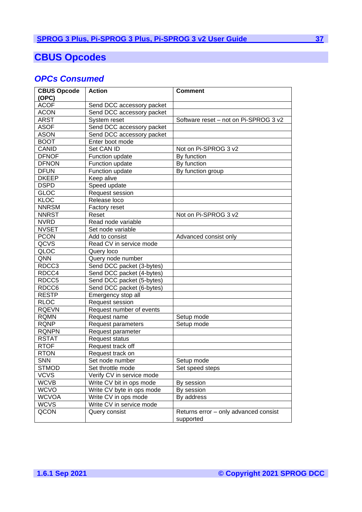# <span id="page-36-0"></span>**CBUS Opcodes**

# <span id="page-36-1"></span>*OPCs Consumed*

| <b>CBUS Opcode</b> | <b>Action</b>             | <b>Comment</b>                        |
|--------------------|---------------------------|---------------------------------------|
| (OPC)              |                           |                                       |
| <b>ACOF</b>        | Send DCC accessory packet |                                       |
| <b>ACON</b>        | Send DCC accessory packet |                                       |
| <b>ARST</b>        | System reset              | Software reset – not on Pi-SPROG 3 v2 |
| <b>ASOF</b>        | Send DCC accessory packet |                                       |
| <b>ASON</b>        | Send DCC accessory packet |                                       |
| <b>BOOT</b>        | Enter boot mode           |                                       |
| <b>CANID</b>       | Set CAN ID                | Not on Pi-SPROG 3 v2                  |
| <b>DFNOF</b>       | Function update           | By function                           |
| <b>DFNON</b>       | Function update           | By function                           |
| <b>DFUN</b>        | Function update           | By function group                     |
| <b>DKEEP</b>       | Keep alive                |                                       |
| <b>DSPD</b>        | Speed update              |                                       |
| <b>GLOC</b>        | Request session           |                                       |
| <b>KLOC</b>        | Release loco              |                                       |
| <b>NNRSM</b>       | Factory reset             |                                       |
| <b>NNRST</b>       | Reset                     | Not on Pi-SPROG 3 v2                  |
| <b>NVRD</b>        | Read node variable        |                                       |
| <b>NVSET</b>       | Set node variable         |                                       |
| <b>PCON</b>        | Add to consist            | Advanced consist only                 |
| QCVS               | Read CV in service mode   |                                       |
| QLOC               | Query loco                |                                       |
| QNN                | Query node number         |                                       |
| RDCC3              | Send DCC packet (3-bytes) |                                       |
| RDCC4              | Send DCC packet (4-bytes) |                                       |
| RDCC <sub>5</sub>  | Send DCC packet (5-bytes) |                                       |
| RDCC6              | Send DCC packet (6-bytes) |                                       |
| <b>RESTP</b>       | Emergency stop all        |                                       |
| <b>RLOC</b>        | Request session           |                                       |
| <b>RQEVN</b>       | Request number of events  |                                       |
| <b>RQMN</b>        | Request name              | Setup mode                            |
| <b>RQNP</b>        | Request parameters        | Setup mode                            |
| <b>RQNPN</b>       | Request parameter         |                                       |
| <b>RSTAT</b>       | <b>Request status</b>     |                                       |
| <b>RTOF</b>        | Request track off         |                                       |
| <b>RTON</b>        | Request track on          |                                       |
| <b>SNN</b>         | Set node number           | Setup mode                            |
| <b>STMOD</b>       | Set throttle mode         | Set speed steps                       |
| <b>VCVS</b>        | Verify CV in service mode |                                       |
| <b>WCVB</b>        | Write CV bit in ops mode  | By session                            |
| <b>WCVO</b>        | Write CV byte in ops mode | By session                            |
| <b>WCVOA</b>       | Write CV in ops mode      | By address                            |
| <b>WCVS</b>        | Write CV in service mode  |                                       |
| QCON               | Query consist             | Returns error - only advanced consist |
|                    |                           | supported                             |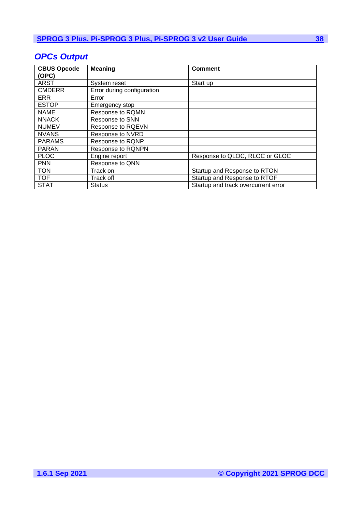| <b>CBUS Opcode</b><br>(OPC) | <b>Meaning</b>             | <b>Comment</b>                      |
|-----------------------------|----------------------------|-------------------------------------|
| <b>ARST</b>                 | System reset               | Start up                            |
| <b>CMDERR</b>               | Error during configuration |                                     |
| <b>ERR</b>                  | Error                      |                                     |
| <b>ESTOP</b>                | Emergency stop             |                                     |
| <b>NAME</b>                 | Response to RQMN           |                                     |
| <b>NNACK</b>                | Response to SNN            |                                     |
| <b>NUMEV</b>                | Response to RQEVN          |                                     |
| <b>NVANS</b>                | Response to NVRD           |                                     |
| <b>PARAMS</b>               | Response to RQNP           |                                     |
| <b>PARAN</b>                | Response to RQNPN          |                                     |
| <b>PLOC</b>                 | Engine report              | Response to QLOC, RLOC or GLOC      |
| <b>PNN</b>                  | Response to QNN            |                                     |
| <b>TON</b>                  | Track on                   | Startup and Response to RTON        |
| <b>TOF</b>                  | Track off                  | Startup and Response to RTOF        |
| <b>STAT</b>                 | <b>Status</b>              | Startup and track overcurrent error |

# <span id="page-37-0"></span>*OPCs Output*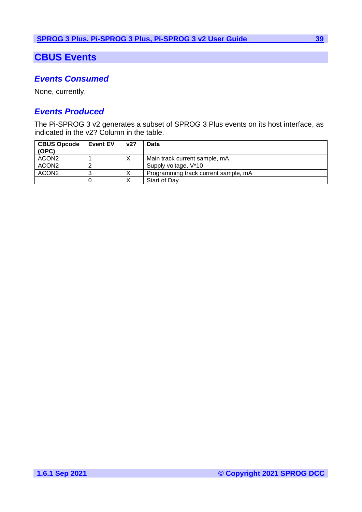# <span id="page-38-0"></span>**CBUS Events**

# <span id="page-38-1"></span>*Events Consumed*

None, currently.

# <span id="page-38-2"></span>*Events Produced*

The Pi-SPROG 3 v2 generates a subset of SPROG 3 Plus events on its host interface, as indicated in the v2? Column in the table.

| <b>CBUS Opcode</b><br>(OPC) | I Event EV | v2? | Data                                 |
|-----------------------------|------------|-----|--------------------------------------|
| ACON2                       |            |     | Main track current sample, mA        |
| ACON <sub>2</sub>           |            |     | Supply voltage, V*10                 |
| ACON <sub>2</sub>           |            |     | Programming track current sample, mA |
|                             |            |     | Start of Day                         |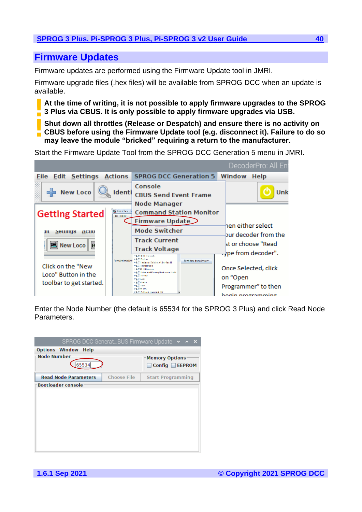# <span id="page-39-0"></span>**Firmware Updates**

Firmware updates are performed using the Firmware Update tool in JMRI.

Firmware upgrade files (.hex files) will be available from SPROG DCC when an update is available.

**At the time of writing, it is not possible to apply firmware upgrades to the SPROG 3 Plus via CBUS. It is only possible to apply firmware upgrades via USB. !**

**Shut down all throttles (Release or Despatch) and ensure there is no activity on CBUS before using the Firmware Update tool (e.g. disconnect it). Failure to do so may leave the module "bricked" requiring a return to the manufacturer. !**

Start the Firmware Update Tool from the SPROG DCC Generation 5 menu in JMRI.

|                                                                     |                                      |                                                                                                                                                                                                                                                                | DecoderPro: All En                                                           |
|---------------------------------------------------------------------|--------------------------------------|----------------------------------------------------------------------------------------------------------------------------------------------------------------------------------------------------------------------------------------------------------------|------------------------------------------------------------------------------|
| <b>File Edit Settings Actions</b>                                   |                                      | <b>SPROG DCC Generation 5</b>                                                                                                                                                                                                                                  | Window<br><b>Help</b>                                                        |
| 네 New Loco<br>Identi                                                |                                      | Console<br><b>CBUS Send Event Frame</b><br><b>Node Manager</b>                                                                                                                                                                                                 | Unk                                                                          |
| <b>Getting Started</b>                                              | <b>BE CHAPT NOW IN</b><br>the Royles | <b>Command Station Monitor</b><br><b>Firmware Update</b>                                                                                                                                                                                                       | hen either select                                                            |
| Setungs<br>ш<br><b>ACUO</b>                                         |                                      | <b>Mode Switcher</b>                                                                                                                                                                                                                                           | bur decoder from the                                                         |
| <b>New Loco</b>                                                     | <b>Semicritated</b>                  | <b>Track Current</b><br><b>Track Voltage</b><br>HL EXITION<br><b>Hall Indian</b><br>Read have from decorated.                                                                                                                                                  | st or choose "Read<br>$\rightarrow$ pe from decoder".                        |
| Click on the "New<br>Loco" Button in the<br>toolbar to get started. |                                      | in L.C. Hederic Schliers University<br><b>CLE INNOCCOL</b><br><b>S. L.P. H. H. Disserter</b><br>≒1.2 Trip and Karrol Ladrama Gald<br><b>In Life Hambo</b><br><b>PLEAN</b><br><b>KIND STEP</b><br><b>HELL</b><br><b>HELP U. DO</b><br>File Pellis & national BV | Once Selected, click<br>on "Open<br>Programmer" to then<br>hogin programming |

Enter the Node Number (the default is 65534 for the SPROG 3 Plus) and click Read Node Parameters.

|                               |                    | SPROG DCC GeneratBUS Firmware Update v ^ X |
|-------------------------------|--------------------|--------------------------------------------|
| <b>Options Window</b><br>Help |                    |                                            |
| <b>Node Number</b>            |                    | <b>Memory Options</b>                      |
| 65534                         |                    | Config <b>■EEPROM</b>                      |
| <b>Read Node Parameters</b>   | <b>Choose File</b> | <b>Start Programming</b>                   |
| <b>Bootloader console</b>     |                    |                                            |
|                               |                    |                                            |
|                               |                    |                                            |
|                               |                    |                                            |
|                               |                    |                                            |
|                               |                    |                                            |
|                               |                    |                                            |
|                               |                    |                                            |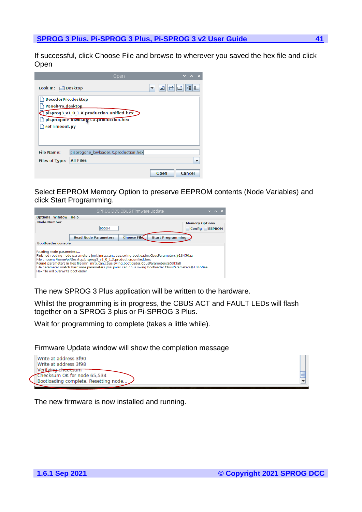If successful, click Choose File and browse to wherever you saved the hex file and click **Open** 

|                       | Open                                     |             |                            |
|-----------------------|------------------------------------------|-------------|----------------------------|
| Look In:              | <b>Desktop</b>                           | ⊠<br>▼      | 88<br>$D -$<br>$\bar{D}$ - |
| DecoderPro.desktop    |                                          |             |                            |
| PanelPro.desktop      |                                          |             |                            |
|                       | pisprog3_v1_0_1.X.production.unified.hex |             |                            |
|                       | pisprogone lowloader. X.production.hex   |             |                            |
| setTimeout.py         |                                          |             |                            |
|                       |                                          |             |                            |
|                       |                                          |             |                            |
| <b>File Name:</b>     | pisprogone lowloader.X.production.hex    |             |                            |
| <b>Files of Type:</b> | <b>All Files</b>                         |             |                            |
|                       |                                          | <b>Open</b> | Cancel                     |

Select EEPROM Memory Option to preserve EEPROM contents (Node Variables) and click Start Programming.

|                                                                                                                                                                                                                                                                                                                                                                                                                                            | SPROG DCC CBUS Firmware Update                    | $\vee$ $\wedge$ X     |  |  |  |
|--------------------------------------------------------------------------------------------------------------------------------------------------------------------------------------------------------------------------------------------------------------------------------------------------------------------------------------------------------------------------------------------------------------------------------------------|---------------------------------------------------|-----------------------|--|--|--|
| <b>Options Window Help</b>                                                                                                                                                                                                                                                                                                                                                                                                                 |                                                   |                       |  |  |  |
| Node Number                                                                                                                                                                                                                                                                                                                                                                                                                                |                                                   | <b>Memory Options</b> |  |  |  |
|                                                                                                                                                                                                                                                                                                                                                                                                                                            | 65534                                             | Config □ EEPROM       |  |  |  |
|                                                                                                                                                                                                                                                                                                                                                                                                                                            | <b>Choose File</b><br><b>Read Node Parameters</b> |                       |  |  |  |
| <b>Bootloader console</b>                                                                                                                                                                                                                                                                                                                                                                                                                  | <b>Start Programming</b>                          |                       |  |  |  |
| Reading node parameters<br>Finished reading node parameters imri.jmrix.can.cbus.swing.bootloader.CbusParameters@13450aa<br>File chosen: /home/pi/Desktop/pisprog3_v1_0_1.X.production.unified.hex<br>Found parameters in hex file imri.imrix.can.cbus.swing.bootloader.CbusParameters@53f3a8<br>File parameter match hardware parameters imri.imrix.can.cbus.swing.bootloader.CbusParameters@13450aa<br>Hex file will overwrite bootloader |                                                   |                       |  |  |  |

The new SPROG 3 Plus application will be written to the hardware.

Whilst the programming is in progress, the CBUS ACT and FAULT LEDs will flash together on a SPROG 3 plus or Pi-SPROG 3 Plus.

Wait for programming to complete (takes a little while).

Firmware Update window will show the completion message

| Write at address 3f90<br>Write at address 3f98    |
|---------------------------------------------------|
| Nerifying checksum<br>Checksum OK for node 65,534 |
| Bootloading complete. Resetting node              |

The new firmware is now installed and running.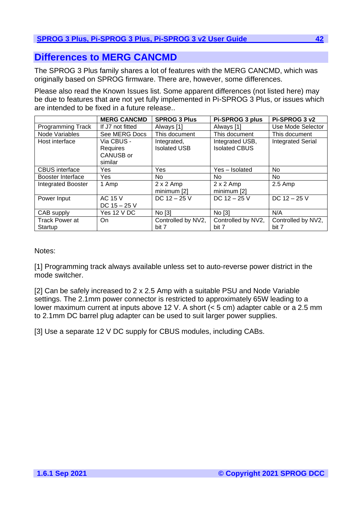# <span id="page-41-0"></span>**Differences to MERG CANCMD**

The SPROG 3 Plus family shares a lot of features with the MERG CANCMD, which was originally based on SPROG firmware. There are, however, some differences.

Please also read the Known Issues list. Some apparent differences (not listed here) may be due to features that are not yet fully implemented in Pi-SPROG 3 Plus, or issues which are intended to be fixed in a future release..

|                                  | <b>MERG CANCMD</b>               | <b>SPROG 3 Plus</b>             | Pi-SPROG 3 plus                 | Pi-SPROG 3 v2               |
|----------------------------------|----------------------------------|---------------------------------|---------------------------------|-----------------------------|
| <b>Programming Track</b>         | If J7 not fitted                 | Always [1]                      | Always [1]                      | Use Mode Selector           |
| Node Variables                   | See MERG Docs                    | This document                   | This document                   | This document               |
| Host interface                   | Via CBUS -                       | Integrated,                     | Integrated USB,                 | <b>Integrated Serial</b>    |
|                                  | Requires<br>CANUSB or<br>similar | <b>Isolated USB</b>             | <b>Isolated CBUS</b>            |                             |
| <b>CBUS</b> interface            | Yes                              | Yes                             | Yes - Isolated                  | No.                         |
| Booster Interface                | <b>Yes</b>                       | No.                             | No.                             | No.                         |
| <b>Integrated Booster</b>        | 1 Amp                            | $2 \times 2$ Amp<br>minimum [2] | $2 \times 2$ Amp<br>minimum [2] | $2.5$ Amp                   |
| Power Input                      | AC 15 V<br>DC $15 - 25$ V        | DC $12 - 25$ V                  | DC $12 - 25$ V                  | DC $12 - 25$ V              |
| CAB supply                       | Yes 12 V DC                      | No [3]                          | No [3]                          | N/A                         |
| <b>Track Power at</b><br>Startup | On.                              | Controlled by NV2,<br>bit 7     | Controlled by NV2,<br>bit 7     | Controlled by NV2,<br>bit 7 |

Notes:

[1] Programming track always available unless set to auto-reverse power district in the mode switcher.

[2] Can be safely increased to 2 x 2.5 Amp with a suitable PSU and Node Variable settings. The 2.1mm power connector is restricted to approximately 65W leading to a lower maximum current at inputs above 12 V. A short (< 5 cm) adapter cable or a 2.5 mm to 2.1mm DC barrel plug adapter can be used to suit larger power supplies.

[3] Use a separate 12 V DC supply for CBUS modules, including CABs.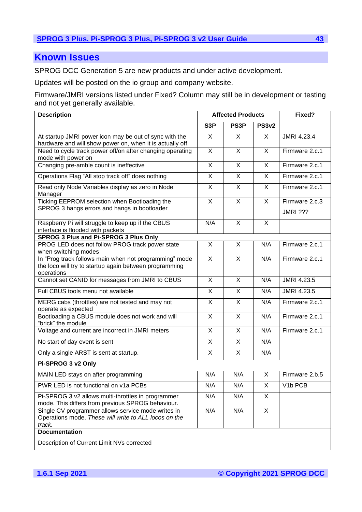# <span id="page-42-0"></span>**Known Issues**

SPROG DCC Generation 5 are new products and under active development.

Updates will be posted on the io group and company website.

Firmware/JMRI versions listed under Fixed? Column may still be in development or testing and not yet generally available.

| <b>Description</b>                                                                                                             |                         | <b>Affected Products</b> | Fixed?                  |                                   |
|--------------------------------------------------------------------------------------------------------------------------------|-------------------------|--------------------------|-------------------------|-----------------------------------|
|                                                                                                                                | S <sub>3</sub> P        | PS3P                     | <b>PS3v2</b>            |                                   |
| At startup JMRI power icon may be out of sync with the<br>hardware and will show power on, when it is actually off.            |                         | $\mathsf{X}$             | $\overline{\mathsf{x}}$ | <b>JMRI 4.23.4</b>                |
| Need to cycle track power off/on after changing operating<br>mode with power on                                                |                         | $\mathsf{X}$             | X                       | Firmware 2.c.1                    |
| Changing pre-amble count is ineffective                                                                                        |                         | $\mathsf{X}$             | X                       | Firmware 2.c.1                    |
| Operations Flag "All stop track off" does nothing                                                                              |                         | X                        | X                       | Firmware 2.c.1                    |
| Read only Node Variables display as zero in Node<br>Manager                                                                    |                         | $\mathsf{X}$             | X                       | Firmware 2.c.1                    |
| Ticking EEPROM selection when Bootloading the<br>SPROG 3 hangs errors and hangs in bootloader                                  |                         | $\overline{\mathsf{x}}$  | $\overline{X}$          | Firmware 2.c.3<br><b>JMRI ???</b> |
| Raspberry Pi will struggle to keep up if the CBUS<br>interface is flooded with packets                                         |                         | $\overline{X}$           | $\mathsf{X}$            |                                   |
| SPROG 3 Plus and Pi-SPROG 3 Plus Only<br>PROG LED does not follow PROG track power state                                       | X                       | $\mathsf{X}$             | N/A                     | Firmware 2.c.1                    |
| when switching modes                                                                                                           |                         |                          |                         |                                   |
| In "Prog track follows main when not programming" mode<br>the loco will try to startup again between programming<br>operations |                         | X                        | N/A                     | Firmware 2.c.1                    |
| Cannot set CANID for messages from JMRI to CBUS                                                                                |                         | X                        | N/A                     | <b>JMRI 4.23.5</b>                |
| Full CBUS tools menu not available                                                                                             |                         | X                        | N/A                     | <b>JMRI 4.23.5</b>                |
| MERG cabs (throttles) are not tested and may not<br>operate as expected                                                        |                         | X                        | N/A                     | Firmware 2.c.1                    |
| Bootloading a CBUS module does not work and will<br>"brick" the module                                                         |                         | $\overline{X}$           | N/A                     | Firmware 2.c.1                    |
| Voltage and current are incorrect in JMRI meters                                                                               | $\overline{X}$          | $\overline{\mathsf{x}}$  | N/A                     | Firmware 2.c.1                    |
| No start of day event is sent                                                                                                  | $\overline{\mathsf{X}}$ | $\overline{X}$           | N/A                     |                                   |
| Only a single ARST is sent at startup.                                                                                         | $\overline{\mathsf{X}}$ | $\overline{\mathsf{x}}$  | N/A                     |                                   |
| Pi-SPROG 3 v2 Only                                                                                                             |                         |                          |                         |                                   |
| MAIN LED stays on after programming                                                                                            | N/A                     | N/A                      | X                       | Firmware 2.b.5                    |
| PWR LED is not functional on v1a PCBs                                                                                          |                         | N/A                      | X                       | V <sub>1</sub> b PCB              |
| Pi-SPROG 3 v2 allows multi-throttles in programmer<br>mode. This differs from previous SPROG behaviour.                        |                         | N/A                      | X                       |                                   |
| Single CV programmer allows service mode writes in<br>Operations mode. These will write to ALL locos on the<br>track.          |                         | N/A                      | X                       |                                   |
| <b>Documentation</b>                                                                                                           |                         |                          |                         |                                   |
| Description of Current Limit NVs corrected                                                                                     |                         |                          |                         |                                   |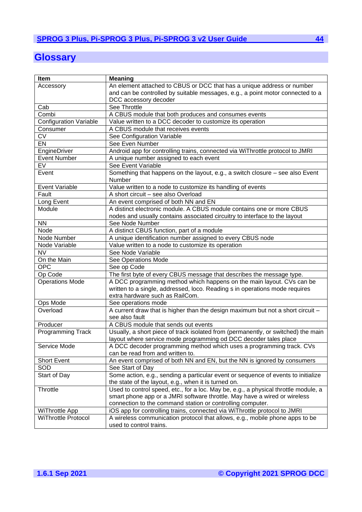# <span id="page-43-0"></span>**Glossary**

| Item                          | <b>Meaning</b>                                                                      |  |  |
|-------------------------------|-------------------------------------------------------------------------------------|--|--|
| Accessory                     | An element attached to CBUS or DCC that has a unique address or number              |  |  |
|                               | and can be controlled by suitable messages, e.g., a point motor connected to a      |  |  |
|                               | DCC accessory decoder                                                               |  |  |
| Cab                           | See Throttle                                                                        |  |  |
| Combi                         | A CBUS module that both produces and consumes events                                |  |  |
| <b>Configuration Variable</b> | Value written to a DCC decoder to customize its operation                           |  |  |
| Consumer                      | A CBUS module that receives events                                                  |  |  |
| CV                            | See Configuration Variable                                                          |  |  |
| $E$ N                         | See Even Number                                                                     |  |  |
| EngineDriver                  | Android app for controlling trains, connected via WiThrottle protocol to JMRI       |  |  |
| <b>Event Number</b>           | A unique number assigned to each event                                              |  |  |
| EV                            | See Event Variable                                                                  |  |  |
| Event                         | Something that happens on the layout, e.g., a switch closure - see also Event       |  |  |
|                               | Number                                                                              |  |  |
| <b>Event Variable</b>         | Value written to a node to customize its handling of events                         |  |  |
| Fault                         | A short circuit - see also Overload                                                 |  |  |
| Long Event                    | An event comprised of both NN and EN                                                |  |  |
| Module                        | A distinct electronic module. A CBUS module contains one or more CBUS               |  |  |
|                               | nodes and usually contains associated circuitry to interface to the layout          |  |  |
| <b>NN</b>                     | See Node Number                                                                     |  |  |
| Node                          | A distinct CBUS function, part of a module                                          |  |  |
| Node Number                   | A unique identification number assigned to every CBUS node                          |  |  |
| Node Variable                 | Value written to a node to customize its operation                                  |  |  |
| <b>NV</b>                     | See Node Variable                                                                   |  |  |
| On the Main                   | See Operations Mode                                                                 |  |  |
| <b>OPC</b>                    | See op Code                                                                         |  |  |
| Op Code                       | The first byte of every CBUS message that describes the message type.               |  |  |
| <b>Operations Mode</b>        | A DCC programming method which happens on the main layout. CVs can be               |  |  |
|                               | written to a single, addressed, loco. Reading s in operations mode requires         |  |  |
|                               | extra hardware such as RailCom.                                                     |  |  |
| Ops Mode                      | See operations mode                                                                 |  |  |
| Overload                      | A current draw that is higher than the design maximum but not a short circuit -     |  |  |
|                               | see also fault                                                                      |  |  |
| Producer                      | A CBUS module that sends out events                                                 |  |  |
| <b>Programming Track</b>      | Usually, a short piece of track isolated from (permanently, or switched) the main   |  |  |
|                               | layout where service mode programming od DCC decoder tales place                    |  |  |
| Service Mode                  | A DCC decoder programming method which uses a programming track. CVs                |  |  |
|                               | can be read from and written to.                                                    |  |  |
| <b>Short Event</b>            | An event comprised of both NN and EN, but the NN is ignored by consumers            |  |  |
| SOD                           | See Start of Day                                                                    |  |  |
| Start of Day                  | Some action, e.g., sending a particular event or sequence of events to initialize   |  |  |
|                               | the state of the layout, e.g., when it is turned on.                                |  |  |
| Throttle                      | Used to control speed, etc., for a loc. May be, e.g., a physical throttle module, a |  |  |
|                               | smart phone app or a JMRI software throttle. May have a wired or wireless           |  |  |
|                               | connection to the command station or controlling computer.                          |  |  |
| <b>WiThrottle App</b>         | iOS app for controlling trains, connected via WiThrottle protocol to JMRI           |  |  |
| <b>WiThrottle Protocol</b>    | A wireless communication protocol that allows, e.g., mobile phone apps to be        |  |  |
|                               | used to control trains.                                                             |  |  |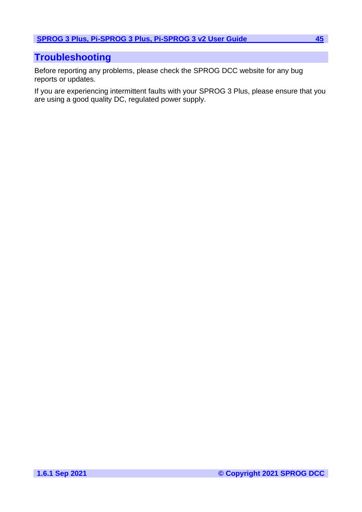# <span id="page-44-0"></span>**Troubleshooting**

Before reporting any problems, please check the SPROG DCC website for any bug reports or updates.

If you are experiencing intermittent faults with your SPROG 3 Plus, please ensure that you are using a good quality DC, regulated power supply.